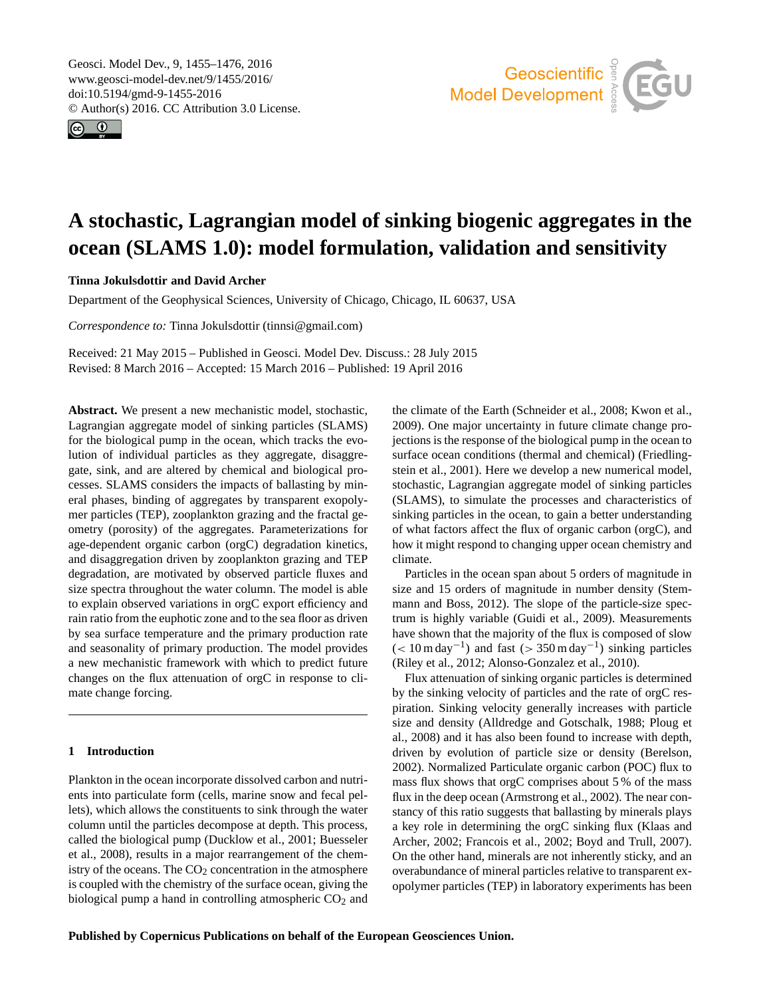<span id="page-0-0"></span>Geosci. Model Dev., 9, 1455–1476, 2016 www.geosci-model-dev.net/9/1455/2016/ doi:10.5194/gmd-9-1455-2016 © Author(s) 2016. CC Attribution 3.0 License.





# **A stochastic, Lagrangian model of sinking biogenic aggregates in the ocean (SLAMS 1.0): model formulation, validation and sensitivity**

**Tinna Jokulsdottir and David Archer**

Department of the Geophysical Sciences, University of Chicago, Chicago, IL 60637, USA

*Correspondence to:* Tinna Jokulsdottir (tinnsi@gmail.com)

Received: 21 May 2015 – Published in Geosci. Model Dev. Discuss.: 28 July 2015 Revised: 8 March 2016 – Accepted: 15 March 2016 – Published: 19 April 2016

**Abstract.** We present a new mechanistic model, stochastic, Lagrangian aggregate model of sinking particles (SLAMS) for the biological pump in the ocean, which tracks the evolution of individual particles as they aggregate, disaggregate, sink, and are altered by chemical and biological processes. SLAMS considers the impacts of ballasting by mineral phases, binding of aggregates by transparent exopolymer particles (TEP), zooplankton grazing and the fractal geometry (porosity) of the aggregates. Parameterizations for age-dependent organic carbon (orgC) degradation kinetics, and disaggregation driven by zooplankton grazing and TEP degradation, are motivated by observed particle fluxes and size spectra throughout the water column. The model is able to explain observed variations in orgC export efficiency and rain ratio from the euphotic zone and to the sea floor as driven by sea surface temperature and the primary production rate and seasonality of primary production. The model provides a new mechanistic framework with which to predict future changes on the flux attenuation of orgC in response to climate change forcing.

# **1 Introduction**

Plankton in the ocean incorporate dissolved carbon and nutrients into particulate form (cells, marine snow and fecal pellets), which allows the constituents to sink through the water column until the particles decompose at depth. This process, called the biological pump [\(Ducklow et al.,](#page-18-0) [2001;](#page-18-0) [Buesseler](#page-18-1) [et al.,](#page-18-1) [2008\)](#page-18-1), results in a major rearrangement of the chemistry of the oceans. The  $CO<sub>2</sub>$  concentration in the atmosphere is coupled with the chemistry of the surface ocean, giving the biological pump a hand in controlling atmospheric  $CO<sub>2</sub>$  and the climate of the Earth [\(Schneider et al.,](#page-20-0) [2008;](#page-20-0) [Kwon et al.,](#page-19-0) [2009\)](#page-19-0). One major uncertainty in future climate change projections is the response of the biological pump in the ocean to surface ocean conditions (thermal and chemical) [\(Friedling](#page-18-2)[stein et al.,](#page-18-2) [2001\)](#page-18-2). Here we develop a new numerical model, stochastic, Lagrangian aggregate model of sinking particles (SLAMS), to simulate the processes and characteristics of sinking particles in the ocean, to gain a better understanding of what factors affect the flux of organic carbon (orgC), and how it might respond to changing upper ocean chemistry and climate.

Particles in the ocean span about 5 orders of magnitude in size and 15 orders of magnitude in number density [\(Stem](#page-20-1)[mann and Boss,](#page-20-1) [2012\)](#page-20-1). The slope of the particle-size spectrum is highly variable [\(Guidi et al.,](#page-19-1) [2009\)](#page-19-1). Measurements have shown that the majority of the flux is composed of slow  $(< 10 \,\mathrm{m\,day^{-1}})$  and fast  $(> 350 \,\mathrm{m\,day^{-1}})$  sinking particles [\(Riley et al.,](#page-20-2) [2012;](#page-20-2) [Alonso-Gonzalez et al.,](#page-17-0) [2010\)](#page-17-0).

Flux attenuation of sinking organic particles is determined by the sinking velocity of particles and the rate of orgC respiration. Sinking velocity generally increases with particle size and density [\(Alldredge and Gotschalk,](#page-17-1) [1988;](#page-17-1) [Ploug et](#page-20-3) [al.,](#page-20-3) [2008\)](#page-20-3) and it has also been found to increase with depth, driven by evolution of particle size or density [\(Berelson,](#page-17-2) [2002\)](#page-17-2). Normalized Particulate organic carbon (POC) flux to mass flux shows that orgC comprises about 5 % of the mass flux in the deep ocean [\(Armstrong et al.,](#page-17-3) [2002\)](#page-17-3). The near constancy of this ratio suggests that ballasting by minerals plays a key role in determining the orgC sinking flux [\(Klaas and](#page-19-2) [Archer,](#page-19-2) [2002;](#page-19-2) [Francois et al.,](#page-18-3) [2002;](#page-18-3) [Boyd and Trull,](#page-18-4) [2007\)](#page-18-4). On the other hand, minerals are not inherently sticky, and an overabundance of mineral particles relative to transparent exopolymer particles (TEP) in laboratory experiments has been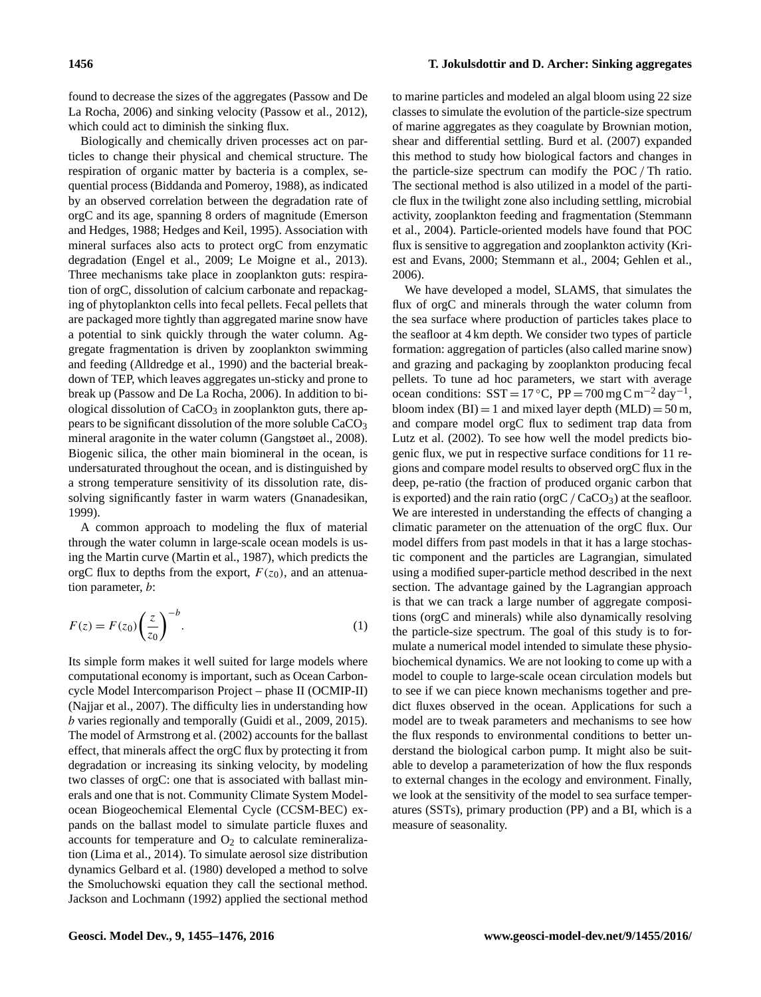found to decrease the sizes of the aggregates [\(Passow and De](#page-20-4) [La Rocha,](#page-20-4) [2006\)](#page-20-4) and sinking velocity [\(Passow et al.,](#page-20-5) [2012\)](#page-20-5), which could act to diminish the sinking flux.

Biologically and chemically driven processes act on particles to change their physical and chemical structure. The respiration of organic matter by bacteria is a complex, sequential process [\(Biddanda and Pomeroy,](#page-17-4) [1988\)](#page-17-4), as indicated by an observed correlation between the degradation rate of orgC and its age, spanning 8 orders of magnitude [\(Emerson](#page-18-5) [and Hedges,](#page-18-5) [1988;](#page-18-5) [Hedges and Keil,](#page-19-3) [1995\)](#page-19-3). Association with mineral surfaces also acts to protect orgC from enzymatic degradation [\(Engel et al.,](#page-18-6) [2009;](#page-18-6) [Le Moigne et al.,](#page-19-4) [2013\)](#page-19-4). Three mechanisms take place in zooplankton guts: respiration of orgC, dissolution of calcium carbonate and repackaging of phytoplankton cells into fecal pellets. Fecal pellets that are packaged more tightly than aggregated marine snow have a potential to sink quickly through the water column. Aggregate fragmentation is driven by zooplankton swimming and feeding [\(Alldredge et al.,](#page-17-5) [1990\)](#page-17-5) and the bacterial breakdown of TEP, which leaves aggregates un-sticky and prone to break up [\(Passow and De La Rocha,](#page-20-4) [2006\)](#page-20-4). In addition to biological dissolution of  $CaCO<sub>3</sub>$  in zooplankton guts, there appears to be significant dissolution of the more soluble  $CaCO<sub>3</sub>$ mineral aragonite in the water column [\(Gangstøet al.,](#page-18-7) [2008\)](#page-18-7). Biogenic silica, the other main biomineral in the ocean, is undersaturated throughout the ocean, and is distinguished by a strong temperature sensitivity of its dissolution rate, dissolving significantly faster in warm waters [\(Gnanadesikan,](#page-18-8) [1999\)](#page-18-8).

A common approach to modeling the flux of material through the water column in large-scale ocean models is using the Martin curve [\(Martin et al.,](#page-20-6) [1987\)](#page-20-6), which predicts the orgC flux to depths from the export,  $F(z_0)$ , and an attenuation parameter, b:

<span id="page-1-0"></span>
$$
F(z) = F(z_0) \left(\frac{z}{z_0}\right)^{-b}.\tag{1}
$$

Its simple form makes it well suited for large models where computational economy is important, such as Ocean Carboncycle Model Intercomparison Project – phase II (OCMIP-II) [\(Najjar et al.,](#page-20-7) [2007\)](#page-20-7). The difficulty lies in understanding how b varies regionally and temporally [\(Guidi et al.,](#page-19-1) [2009,](#page-19-1) [2015\)](#page-19-5). The model of [Armstrong et al.](#page-17-3) [\(2002\)](#page-17-3) accounts for the ballast effect, that minerals affect the orgC flux by protecting it from degradation or increasing its sinking velocity, by modeling two classes of orgC: one that is associated with ballast minerals and one that is not. Community Climate System Modelocean Biogeochemical Elemental Cycle (CCSM-BEC) expands on the ballast model to simulate particle fluxes and accounts for temperature and  $O_2$  to calculate remineralization [\(Lima et al.,](#page-19-6) [2014\)](#page-19-6). To simulate aerosol size distribution dynamics [Gelbard et al.](#page-18-9) [\(1980\)](#page-18-9) developed a method to solve the Smoluchowski equation they call the sectional method. [Jackson and Lochmann](#page-19-7) [\(1992\)](#page-19-7) applied the sectional method to marine particles and modeled an algal bloom using 22 size classes to simulate the evolution of the particle-size spectrum of marine aggregates as they coagulate by Brownian motion, shear and differential settling. [Burd et al.](#page-18-10) [\(2007\)](#page-18-10) expanded this method to study how biological factors and changes in the particle-size spectrum can modify the POC/ Th ratio. The sectional method is also utilized in a model of the particle flux in the twilight zone also including settling, microbial activity, zooplankton feeding and fragmentation [\(Stemmann](#page-21-0) [et al.,](#page-21-0) [2004\)](#page-21-0). Particle-oriented models have found that POC flux is sensitive to aggregation and zooplankton activity [\(Kri](#page-19-8)[est and Evans,](#page-19-8) [2000;](#page-19-8) [Stemmann et al.,](#page-21-0) [2004;](#page-21-0) [Gehlen et al.,](#page-18-11) [2006\)](#page-18-11).

We have developed a model, SLAMS, that simulates the flux of orgC and minerals through the water column from the sea surface where production of particles takes place to the seafloor at 4 km depth. We consider two types of particle formation: aggregation of particles (also called marine snow) and grazing and packaging by zooplankton producing fecal pellets. To tune ad hoc parameters, we start with average ocean conditions:  $SST = 17 °C$ ,  $PP = 700 mg C m<sup>-2</sup> day<sup>-1</sup>$ , bloom index  $(BI) = 1$  and mixed layer depth  $(MLD) = 50$  m, and compare model orgC flux to sediment trap data from [Lutz et al.](#page-19-9) [\(2002\)](#page-19-9). To see how well the model predicts biogenic flux, we put in respective surface conditions for 11 regions and compare model results to observed orgC flux in the deep, pe-ratio (the fraction of produced organic carbon that is exported) and the rain ratio (orgC  $/$  CaCO<sub>3</sub>) at the seafloor. We are interested in understanding the effects of changing a climatic parameter on the attenuation of the orgC flux. Our model differs from past models in that it has a large stochastic component and the particles are Lagrangian, simulated using a modified super-particle method described in the next section. The advantage gained by the Lagrangian approach is that we can track a large number of aggregate compositions (orgC and minerals) while also dynamically resolving the particle-size spectrum. The goal of this study is to formulate a numerical model intended to simulate these physiobiochemical dynamics. We are not looking to come up with a model to couple to large-scale ocean circulation models but to see if we can piece known mechanisms together and predict fluxes observed in the ocean. Applications for such a model are to tweak parameters and mechanisms to see how the flux responds to environmental conditions to better understand the biological carbon pump. It might also be suitable to develop a parameterization of how the flux responds to external changes in the ecology and environment. Finally, we look at the sensitivity of the model to sea surface temperatures (SSTs), primary production (PP) and a BI, which is a measure of seasonality.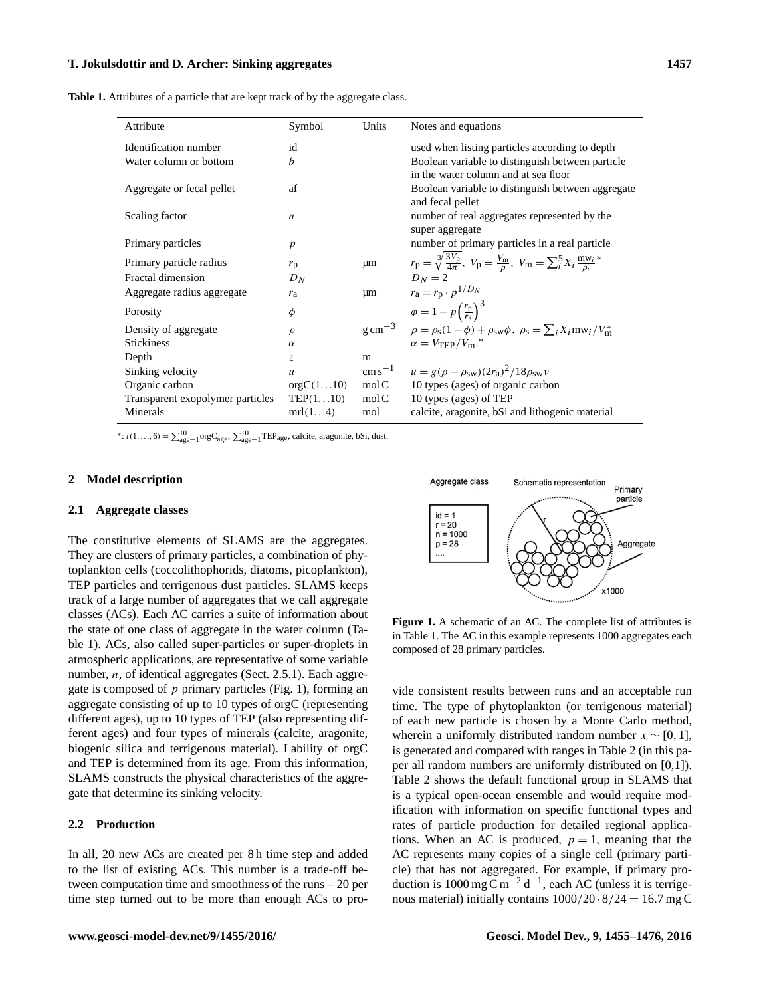<span id="page-2-0"></span>**Table 1.** Attributes of a particle that are kept track of by the aggregate class.

| Attribute                        | Symbol            | Units            | Notes and equations                                                                                                                                    |
|----------------------------------|-------------------|------------------|--------------------------------------------------------------------------------------------------------------------------------------------------------|
| Identification number            | id                |                  | used when listing particles according to depth                                                                                                         |
| Water column or bottom           | b                 |                  | Boolean variable to distinguish between particle                                                                                                       |
|                                  |                   |                  | in the water column and at sea floor                                                                                                                   |
| Aggregate or fecal pellet        | af                |                  | Boolean variable to distinguish between aggregate                                                                                                      |
|                                  |                   |                  | and fecal pellet                                                                                                                                       |
| Scaling factor                   | $\boldsymbol{n}$  |                  | number of real aggregates represented by the                                                                                                           |
|                                  |                   |                  | super aggregate                                                                                                                                        |
| Primary particles                | $\boldsymbol{p}$  |                  | number of primary particles in a real particle                                                                                                         |
| Primary particle radius          | $r_{\rm p}$       | μm               | $r_{\rm p} = \sqrt[3]{\frac{3V_{\rm p}}{4\pi}}$ , $V_{\rm p} = \frac{V_{\rm m}}{p}$ , $V_{\rm m} = \sum_{i=1}^{5} X_i \frac{\text{m w}_{i}}{\rho_i}$ * |
| Fractal dimension                | $D_N$             |                  | $D_N=2$                                                                                                                                                |
| Aggregate radius aggregate       | $r_{\rm a}$       | $\mu$ m          | $r_a = r_p \cdot p^{1/D_N}$                                                                                                                            |
| Porosity                         | φ                 |                  | $\phi = 1 - p \left( \frac{r_p}{r_a} \right)^3$                                                                                                        |
| Density of aggregate             | $\rho$            |                  | $g \text{ cm}^{-3}$ $\rho = \rho_s (1 - \phi) + \rho_{sw} \phi$ , $\rho_s = \sum_i X_i \text{mw}_i / V_{\text{m}}^*$                                   |
| <b>Stickiness</b>                | $\alpha$          |                  | $\alpha = V_{\rm TFP}/V_{\rm m}$ .*                                                                                                                    |
| Depth                            | Z.                | m                |                                                                                                                                                        |
| Sinking velocity                 | $\boldsymbol{u}$  |                  | cm s <sup>-1</sup> $u = g(\rho - \rho_{sw})(2r_a)^2/18\rho_{sw}v$                                                                                      |
| Organic carbon                   | orgC(110)         | mol <sub>C</sub> | 10 types (ages) of organic carbon                                                                                                                      |
| Transparent exopolymer particles | $\text{TEP}(110)$ | mol <sub>C</sub> | 10 types (ages) of TEP                                                                                                                                 |
| Minerals                         | mrl(14)           | mol              | calcite, aragonite, bSi and lithogenic material                                                                                                        |

\*:  $i(1, ..., 6) = \sum_{age=1}^{10} \text{orgC}_{age}$ ,  $\sum_{age=1}^{10} \text{TEP}_{age}$ , calcite, aragonite, bSi, dust.

### **2 Model description**

#### **2.1 Aggregate classes**

The constitutive elements of SLAMS are the aggregates. They are clusters of primary particles, a combination of phytoplankton cells (coccolithophorids, diatoms, picoplankton), TEP particles and terrigenous dust particles. SLAMS keeps track of a large number of aggregates that we call aggregate classes (ACs). Each AC carries a suite of information about the state of one class of aggregate in the water column (Table [1\)](#page-2-0). ACs, also called super-particles or super-droplets in atmospheric applications, are representative of some variable number,  $n$ , of identical aggregates (Sect. [2.5.1\)](#page-4-0). Each aggregate is composed of  $p$  primary particles (Fig. [1\)](#page-2-1), forming an aggregate consisting of up to 10 types of orgC (representing different ages), up to 10 types of TEP (also representing different ages) and four types of minerals (calcite, aragonite, biogenic silica and terrigenous material). Lability of orgC and TEP is determined from its age. From this information, SLAMS constructs the physical characteristics of the aggregate that determine its sinking velocity.

# **2.2 Production**

In all, 20 new ACs are created per 8 h time step and added to the list of existing ACs. This number is a trade-off between computation time and smoothness of the runs – 20 per time step turned out to be more than enough ACs to pro-

<span id="page-2-1"></span>

**Figure 1.** A schematic of an AC. The complete list of attributes is in Table [1.](#page-2-0) The AC in this example represents 1000 aggregates each composed of 28 primary particles.

vide consistent results between runs and an acceptable run time. The type of phytoplankton (or terrigenous material) of each new particle is chosen by a Monte Carlo method, wherein a uniformly distributed random number  $x \sim [0, 1]$ , is generated and compared with ranges in Table [2](#page-3-0) (in this paper all random numbers are uniformly distributed on [0,1]). Table [2](#page-3-0) shows the default functional group in SLAMS that is a typical open-ocean ensemble and would require modification with information on specific functional types and rates of particle production for detailed regional applications. When an AC is produced,  $p = 1$ , meaning that the AC represents many copies of a single cell (primary particle) that has not aggregated. For example, if primary production is 1000 mg C m<sup>-2</sup> d<sup>-1</sup>, each AC (unless it is terrigenous material) initially contains  $1000/20 \cdot 8/24 = 16.7$  mg C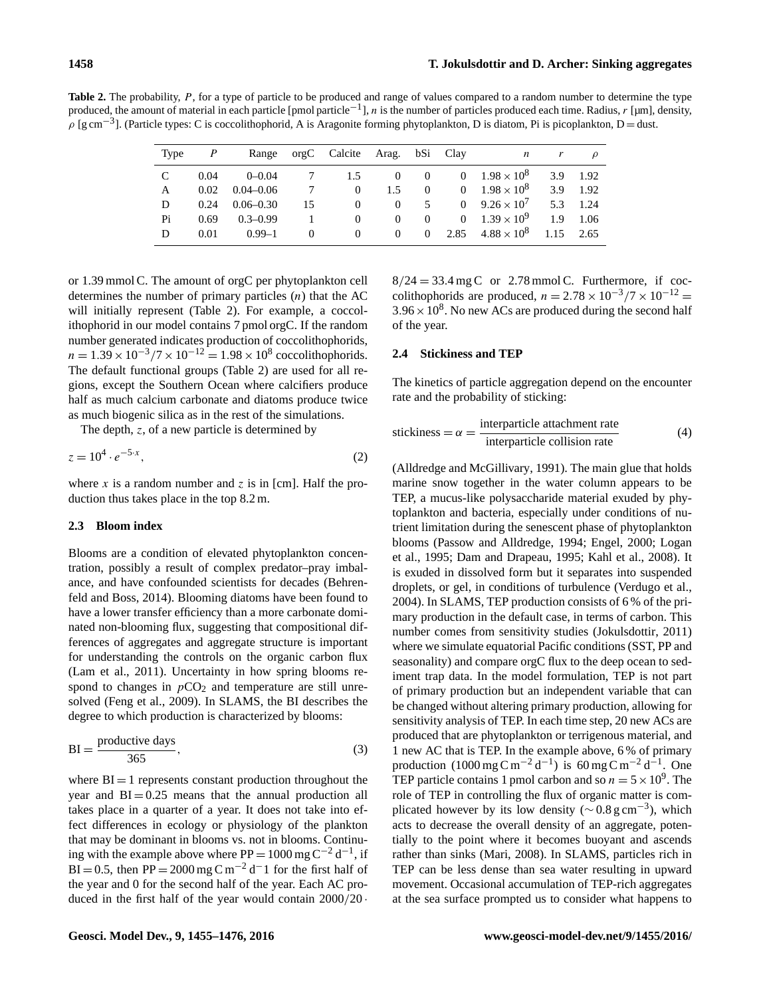<span id="page-3-0"></span>Table 2. The probability, P, for a type of particle to be produced and range of values compared to a random number to determine the type produced, the amount of material in each particle [pmol particle<sup>-1</sup>], n is the number of particles produced each time. Radius, r [µm], density,  $\rho$  [g cm<sup>-3</sup>]. (Particle types: C is coccolithophorid, A is Aragonite forming phytoplankton, D is diatom, Pi is picoplankton, D = dust.

| Type |      | Range         |    | orgC Calcite Arag. bSi Clay |          |          | n                       | r   | $\mathcal{O}$ |
|------|------|---------------|----|-----------------------------|----------|----------|-------------------------|-----|---------------|
| C    | 0.04 | $0 - 0.04$    | 7  | 1.5                         | $\left($ | $\Omega$ | 0 $1.98 \times 10^8$    | 3.9 | 1.92          |
| A    | 0.02 | $0.04 - 0.06$ | 7  | $\Omega$                    | 1.5      | $\Omega$ | 0 $1.98 \times 10^8$    | 3.9 | 1.92          |
| D    | 0.24 | $0.06 - 0.30$ | 15 | $\Omega$                    | $\left($ | 5        | 0 $9.26 \times 10^7$    | 5.3 | 1.24          |
| Pi   | 0.69 | $0.3 - 0.99$  |    | $\Omega$                    | $\Omega$ | $\theta$ | 0 $1.39 \times 10^9$    | 1.9 | 1.06          |
| D    | 0.01 | $0.99 - 1$    |    | $\Omega$                    | $\Omega$ | $\Omega$ | 2.85 $4.88 \times 10^8$ |     | $1.15$ 2.65   |

or 1.39 mmol C. The amount of orgC per phytoplankton cell determines the number of primary particles  $(n)$  that the AC will initially represent (Table [2\)](#page-3-0). For example, a coccolithophorid in our model contains 7 pmol orgC. If the random number generated indicates production of coccolithophorids,  $n = 1.39 \times 10^{-3} / 7 \times 10^{-12} = 1.98 \times 10^8$  coccolithophorids. The default functional groups (Table [2\)](#page-3-0) are used for all regions, except the Southern Ocean where calcifiers produce half as much calcium carbonate and diatoms produce twice as much biogenic silica as in the rest of the simulations.

The depth, z, of a new particle is determined by

$$
z = 10^4 \cdot e^{-5 \cdot x},\tag{2}
$$

where x is a random number and z is in [cm]. Half the production thus takes place in the top 8.2 m.

# **2.3 Bloom index**

Blooms are a condition of elevated phytoplankton concentration, possibly a result of complex predator–pray imbalance, and have confounded scientists for decades [\(Behren](#page-17-6)[feld and Boss,](#page-17-6) [2014\)](#page-17-6). Blooming diatoms have been found to have a lower transfer efficiency than a more carbonate dominated non-blooming flux, suggesting that compositional differences of aggregates and aggregate structure is important for understanding the controls on the organic carbon flux [\(Lam et al.,](#page-19-10) [2011\)](#page-19-10). Uncertainty in how spring blooms respond to changes in  $pCO<sub>2</sub>$  and temperature are still unresolved [\(Feng et al.,](#page-18-12) [2009\)](#page-18-12). In SLAMS, the BI describes the degree to which production is characterized by blooms:

$$
BI = \frac{productive \ days}{365},\tag{3}
$$

where  $BI = 1$  represents constant production throughout the year and  $BI = 0.25$  means that the annual production all takes place in a quarter of a year. It does not take into effect differences in ecology or physiology of the plankton that may be dominant in blooms vs. not in blooms. Continuing with the example above where  $PP = 1000$  mg  $C^{-2} d^{-1}$ , if BI = 0.5, then PP = 2000 mg C m<sup>-2</sup> d<sup>-</sup>1 for the first half of the year and 0 for the second half of the year. Each AC produced in the first half of the year would contain  $2000/20$ .  $8/24 = 33.4$  mg C or 2.78 mmol C. Furthermore, if coccolithophorids are produced,  $n = 2.78 \times 10^{-3}/7 \times 10^{-12}$  $3.96 \times 10^8$ . No new ACs are produced during the second half of the year.

# **2.4 Stickiness and TEP**

The kinetics of particle aggregation depend on the encounter rate and the probability of sticking:

$$
stickiness = \alpha = \frac{interparticle attachment rate}{interparticle collision rate}
$$
 (4)

[\(Alldredge and McGillivary,](#page-17-7) [1991\)](#page-17-7). The main glue that holds marine snow together in the water column appears to be TEP, a mucus-like polysaccharide material exuded by phytoplankton and bacteria, especially under conditions of nutrient limitation during the senescent phase of phytoplankton blooms [\(Passow and Alldredge,](#page-20-8) [1994;](#page-20-8) [Engel,](#page-18-13) [2000;](#page-18-13) [Logan](#page-19-11) [et al.,](#page-19-11) [1995;](#page-19-11) [Dam and Drapeau,](#page-18-14) [1995;](#page-18-14) [Kahl et al.,](#page-19-12) [2008\)](#page-19-12). It is exuded in dissolved form but it separates into suspended droplets, or gel, in conditions of turbulence [\(Verdugo et al.,](#page-21-1) [2004\)](#page-21-1). In SLAMS, TEP production consists of 6 % of the primary production in the default case, in terms of carbon. This number comes from sensitivity studies [\(Jokulsdottir,](#page-19-13) [2011\)](#page-19-13) where we simulate equatorial Pacific conditions (SST, PP and seasonality) and compare orgC flux to the deep ocean to sediment trap data. In the model formulation, TEP is not part of primary production but an independent variable that can be changed without altering primary production, allowing for sensitivity analysis of TEP. In each time step, 20 new ACs are produced that are phytoplankton or terrigenous material, and 1 new AC that is TEP. In the example above, 6 % of primary production  $(1000 \text{ mg C m}^{-2} \text{d}^{-1})$  is 60 mg C m<sup>-2</sup> d<sup>-1</sup>. One TEP particle contains 1 pmol carbon and so  $n = 5 \times 10^9$ . The role of TEP in controlling the flux of organic matter is complicated however by its low density ( $\sim 0.8 \text{ g cm}^{-3}$ ), which acts to decrease the overall density of an aggregate, potentially to the point where it becomes buoyant and ascends rather than sinks [\(Mari,](#page-19-14) [2008\)](#page-19-14). In SLAMS, particles rich in TEP can be less dense than sea water resulting in upward movement. Occasional accumulation of TEP-rich aggregates at the sea surface prompted us to consider what happens to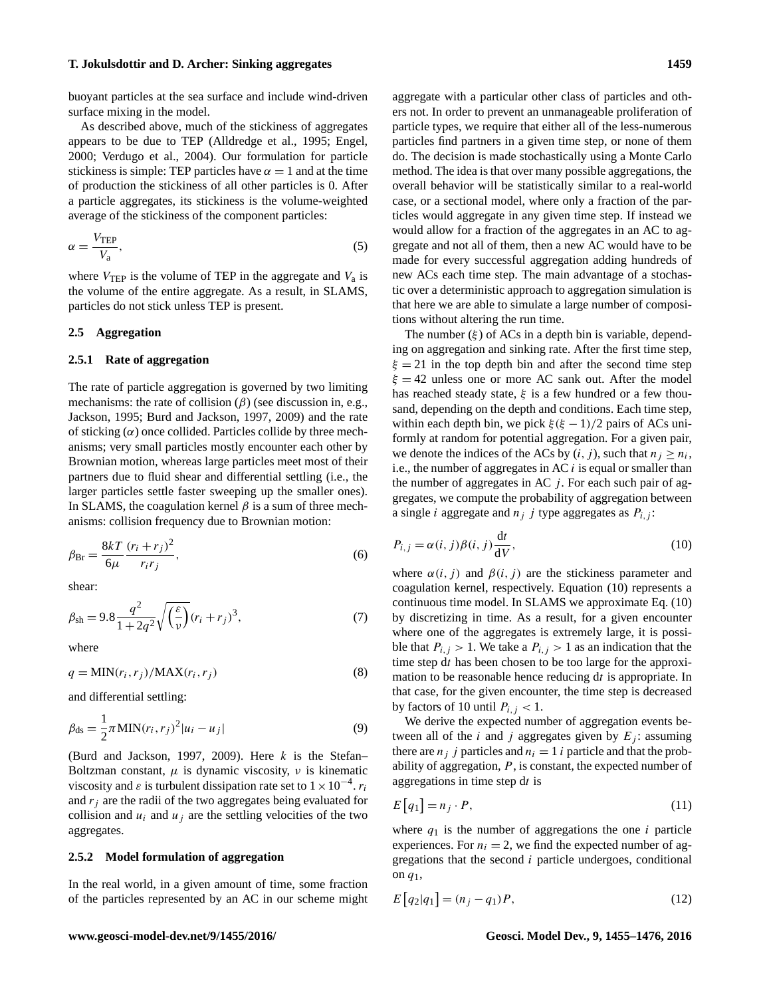buoyant particles at the sea surface and include wind-driven surface mixing in the model.

As described above, much of the stickiness of aggregates appears to be due to TEP [\(Alldredge et al.,](#page-17-8) [1995;](#page-17-8) [Engel,](#page-18-13) [2000;](#page-18-13) [Verdugo et al.,](#page-21-1) [2004\)](#page-21-1). Our formulation for particle stickiness is simple: TEP particles have  $\alpha = 1$  and at the time of production the stickiness of all other particles is 0. After a particle aggregates, its stickiness is the volume-weighted average of the stickiness of the component particles:

$$
\alpha = \frac{V_{\text{TEP}}}{V_{\text{a}}},\tag{5}
$$

where  $V_{\text{TEP}}$  is the volume of TEP in the aggregate and  $V_a$  is the volume of the entire aggregate. As a result, in SLAMS, particles do not stick unless TEP is present.

# **2.5 Aggregation**

# <span id="page-4-0"></span>**2.5.1 Rate of aggregation**

The rate of particle aggregation is governed by two limiting mechanisms: the rate of collision  $(\beta)$  (see discussion in, e.g., [Jackson,](#page-19-15) [1995;](#page-19-15) [Burd and Jackson,](#page-18-15) [1997,](#page-18-15) [2009\)](#page-18-16) and the rate of sticking  $(\alpha)$  once collided. Particles collide by three mechanisms; very small particles mostly encounter each other by Brownian motion, whereas large particles meet most of their partners due to fluid shear and differential settling (i.e., the larger particles settle faster sweeping up the smaller ones). In SLAMS, the coagulation kernel  $\beta$  is a sum of three mechanisms: collision frequency due to Brownian motion:

$$
\beta_{\text{Br}} = \frac{8kT}{6\mu} \frac{(r_i + r_j)^2}{r_i r_j},\tag{6}
$$

shear:

$$
\beta_{\rm sh} = 9.8 \frac{q^2}{1 + 2q^2} \sqrt{\left(\frac{\varepsilon}{\nu}\right)} (r_i + r_j)^3, \tag{7}
$$

where

$$
q = \text{MIN}(r_i, r_j) / \text{MAX}(r_i, r_j)
$$
\n<sup>(8)</sup>

and differential settling:

$$
\beta_{\rm ds} = \frac{1}{2} \pi M I N(r_i, r_j)^2 |u_i - u_j|
$$
\n(9)

[\(Burd and Jackson,](#page-18-15) [1997,](#page-18-15) [2009\)](#page-18-16). Here  $k$  is the Stefan– Boltzman constant,  $\mu$  is dynamic viscosity,  $\nu$  is kinematic viscosity and  $\varepsilon$  is turbulent dissipation rate set to  $1 \times 10^{-4}$ .  $r_i$ and  $r_i$  are the radii of the two aggregates being evaluated for collision and  $u_i$  and  $u_j$  are the settling velocities of the two aggregates.

#### <span id="page-4-3"></span>**2.5.2 Model formulation of aggregation**

In the real world, in a given amount of time, some fraction of the particles represented by an AC in our scheme might <span id="page-4-2"></span>aggregate with a particular other class of particles and others not. In order to prevent an unmanageable proliferation of particle types, we require that either all of the less-numerous particles find partners in a given time step, or none of them do. The decision is made stochastically using a Monte Carlo method. The idea is that over many possible aggregations, the overall behavior will be statistically similar to a real-world case, or a sectional model, where only a fraction of the particles would aggregate in any given time step. If instead we would allow for a fraction of the aggregates in an AC to aggregate and not all of them, then a new AC would have to be made for every successful aggregation adding hundreds of new ACs each time step. The main advantage of a stochastic over a deterministic approach to aggregation simulation is that here we are able to simulate a large number of compositions without altering the run time.

The number  $(\xi)$  of ACs in a depth bin is variable, depending on aggregation and sinking rate. After the first time step,  $\xi = 21$  in the top depth bin and after the second time step  $\xi = 42$  unless one or more AC sank out. After the model has reached steady state,  $\xi$  is a few hundred or a few thousand, depending on the depth and conditions. Each time step, within each depth bin, we pick  $\xi(\xi - 1)/2$  pairs of ACs uniformly at random for potential aggregation. For a given pair, we denote the indices of the ACs by  $(i, j)$ , such that  $n_j \geq n_i$ , i.e., the number of aggregates in AC  $i$  is equal or smaller than the number of aggregates in AC  $j$ . For each such pair of aggregates, we compute the probability of aggregation between a single *i* aggregate and  $n_j$  *j* type aggregates as  $P_{i,j}$ :

<span id="page-4-1"></span>
$$
P_{i,j} = \alpha(i,j)\beta(i,j)\frac{\mathrm{d}t}{\mathrm{d}V},\tag{10}
$$

where  $\alpha(i, j)$  and  $\beta(i, j)$  are the stickiness parameter and coagulation kernel, respectively. Equation [\(10\)](#page-4-1) represents a continuous time model. In SLAMS we approximate Eq. [\(10\)](#page-4-1) by discretizing in time. As a result, for a given encounter where one of the aggregates is extremely large, it is possible that  $P_{i,j} > 1$ . We take a  $P_{i,j} > 1$  as an indication that the time step dt has been chosen to be too large for the approximation to be reasonable hence reducing dt is appropriate. In that case, for the given encounter, the time step is decreased by factors of 10 until  $P_{i,j} < 1$ .

We derive the expected number of aggregation events between all of the *i* and *j* aggregates given by  $E_j$ : assuming there are  $n_i$  j particles and  $n_i = 1$  i particle and that the probability of aggregation,  $P$ , is constant, the expected number of aggregations in time step dt is

$$
E[q_1] = n_j \cdot P,\tag{11}
$$

where  $q_1$  is the number of aggregations the one i particle experiences. For  $n_i = 2$ , we find the expected number of aggregations that the second  $i$  particle undergoes, conditional on  $q_1$ ,

$$
E\left[q_2|q_1\right] = (n_j - q_1)P,\tag{12}
$$

#### **www.geosci-model-dev.net/9/1455/2016/ Geosci. Model Dev., 9, 1455[–1476,](#page-0-0) 2016**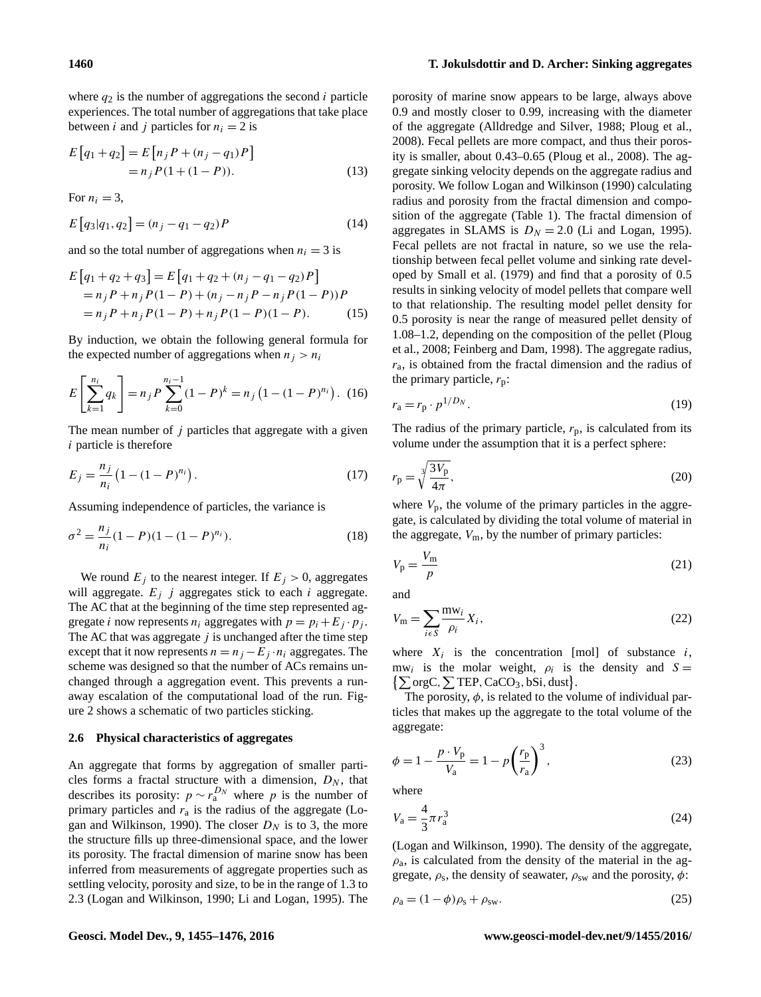where  $q_2$  is the number of aggregations the second i particle experiences. The total number of aggregations that take place between *i* and *j* particles for  $n<sub>i</sub> = 2$  is

$$
E[q_1 + q_2] = E[n_j P + (n_j - q_1)P]
$$
  
= n\_j P (1 + (1 - P)). (13)

For  $n_i = 3$ ,

$$
E[q_3|q_1, q_2] = (n_j - q_1 - q_2)P
$$
\n(14)

and so the total number of aggregations when  $n_i = 3$  is

$$
E[q_1 + q_2 + q_3] = E[q_1 + q_2 + (n_j - q_1 - q_2)P]
$$
  
= n<sub>j</sub>P + n<sub>j</sub>P(1 - P) + (n<sub>j</sub> - n<sub>j</sub>P - n<sub>j</sub>P(1 - P))P  
= n<sub>j</sub>P + n<sub>j</sub>P(1 - P) + n<sub>j</sub>P(1 - P)(1 - P). (15)

By induction, we obtain the following general formula for the expected number of aggregations when  $n_i > n_i$ 

$$
E\left[\sum_{k=1}^{n_i} q_k\right] = n_j P \sum_{k=0}^{n_i - 1} (1 - P)^k = n_j \left(1 - (1 - P)^{n_i}\right). \tag{16}
$$

The mean number of  $j$  particles that aggregate with a given i particle is therefore

$$
E_j = \frac{n_j}{n_i} \left( 1 - (1 - P)^{n_i} \right). \tag{17}
$$

Assuming independence of particles, the variance is

$$
\sigma^2 = \frac{n_j}{n_i} (1 - P)(1 - (1 - P)^{n_i}).
$$
\n(18)

We round  $E_i$  to the nearest integer. If  $E_i > 0$ , aggregates will aggregate.  $E_i$  j aggregates stick to each i aggregate. The AC that at the beginning of the time step represented aggregate *i* now represents  $n_i$  aggregates with  $p = p_i + E_j \cdot p_j$ . The AC that was aggregate  $j$  is unchanged after the time step except that it now represents  $n = n_j - E_j \cdot n_i$  aggregates. The scheme was designed so that the number of ACs remains unchanged through a aggregation event. This prevents a runaway escalation of the computational load of the run. Figure [2](#page-6-0) shows a schematic of two particles sticking.

#### <span id="page-5-0"></span>**2.6 Physical characteristics of aggregates**

An aggregate that forms by aggregation of smaller particles forms a fractal structure with a dimension,  $D_N$ , that describes its porosity:  $p \sim r_a^{D_N}$  where p is the number of primary particles and  $r_a$  is the radius of the aggregate [\(Lo](#page-19-16)[gan and Wilkinson,](#page-19-16) [1990\)](#page-19-16). The closer  $D<sub>N</sub>$  is to 3, the more the structure fills up three-dimensional space, and the lower its porosity. The fractal dimension of marine snow has been inferred from measurements of aggregate properties such as settling velocity, porosity and size, to be in the range of 1.3 to 2.3 [\(Logan and Wilkinson,](#page-19-16) [1990;](#page-19-16) [Li and Logan,](#page-19-17) [1995\)](#page-19-17). The porosity of marine snow appears to be large, always above 0.9 and mostly closer to 0.99, increasing with the diameter of the aggregate [\(Alldredge and Silver,](#page-17-9) [1988;](#page-17-9) [Ploug et al.,](#page-20-3) [2008\)](#page-20-3). Fecal pellets are more compact, and thus their porosity is smaller, about 0.43–0.65 [\(Ploug et al.,](#page-20-3) [2008\)](#page-20-3). The aggregate sinking velocity depends on the aggregate radius and porosity. We follow [Logan and Wilkinson](#page-19-16) [\(1990\)](#page-19-16) calculating radius and porosity from the fractal dimension and composition of the aggregate (Table [1\)](#page-2-0). The fractal dimension of aggregates in SLAMS is  $D<sub>N</sub> = 2.0$  [\(Li and Logan,](#page-19-17) [1995\)](#page-19-17). Fecal pellets are not fractal in nature, so we use the relationship between fecal pellet volume and sinking rate developed by [Small et al.](#page-20-9) [\(1979\)](#page-20-9) and find that a porosity of 0.5 results in sinking velocity of model pellets that compare well to that relationship. The resulting model pellet density for 0.5 porosity is near the range of measured pellet density of 1.08–1.2, depending on the composition of the pellet [\(Ploug](#page-20-3) [et al.,](#page-20-3) [2008;](#page-20-3) [Feinberg and Dam,](#page-18-17) [1998\)](#page-18-17). The aggregate radius,  $r_a$ , is obtained from the fractal dimension and the radius of the primary particle,  $r_p$ :

$$
r_{\rm a} = r_{\rm p} \cdot p^{1/D_N}.\tag{19}
$$

The radius of the primary particle,  $r_p$ , is calculated from its volume under the assumption that it is a perfect sphere:

$$
r_{\rm p} = \sqrt[3]{\frac{3V_{\rm p}}{4\pi}},\tag{20}
$$

where  $V_p$ , the volume of the primary particles in the aggregate, is calculated by dividing the total volume of material in the aggregate,  $V_m$ , by the number of primary particles:

$$
V_{\rm p} = \frac{V_{\rm m}}{p} \tag{21}
$$

and

$$
V_{\rm m} = \sum_{i \in S} \frac{\text{mw}_i}{\rho_i} X_i,\tag{22}
$$

where  $X_i$  is the concentration [mol] of substance  $i$ , mw<sub>i</sub> is the molar weight,  $\rho_i$  is the density and  $S =$  $\{\sum orgC, \sum TEP, CaCO<sub>3</sub>, bSi, dust\}.$ 

The porosity,  $\phi$ , is related to the volume of individual particles that makes up the aggregate to the total volume of the aggregate:

$$
\phi = 1 - \frac{p \cdot V_{\rm p}}{V_{\rm a}} = 1 - p \left(\frac{r_{\rm p}}{r_{\rm a}}\right)^3,\tag{23}
$$

where

$$
V_{\rm a} = \frac{4}{3}\pi r_{\rm a}^3\tag{24}
$$

[\(Logan and Wilkinson,](#page-19-16) [1990\)](#page-19-16). The density of the aggregate,  $\rho_a$ , is calculated from the density of the material in the aggregate,  $\rho_s$ , the density of seawater,  $\rho_{sw}$  and the porosity,  $\phi$ :

$$
\rho_a = (1 - \phi)\rho_s + \rho_{sw}.\tag{25}
$$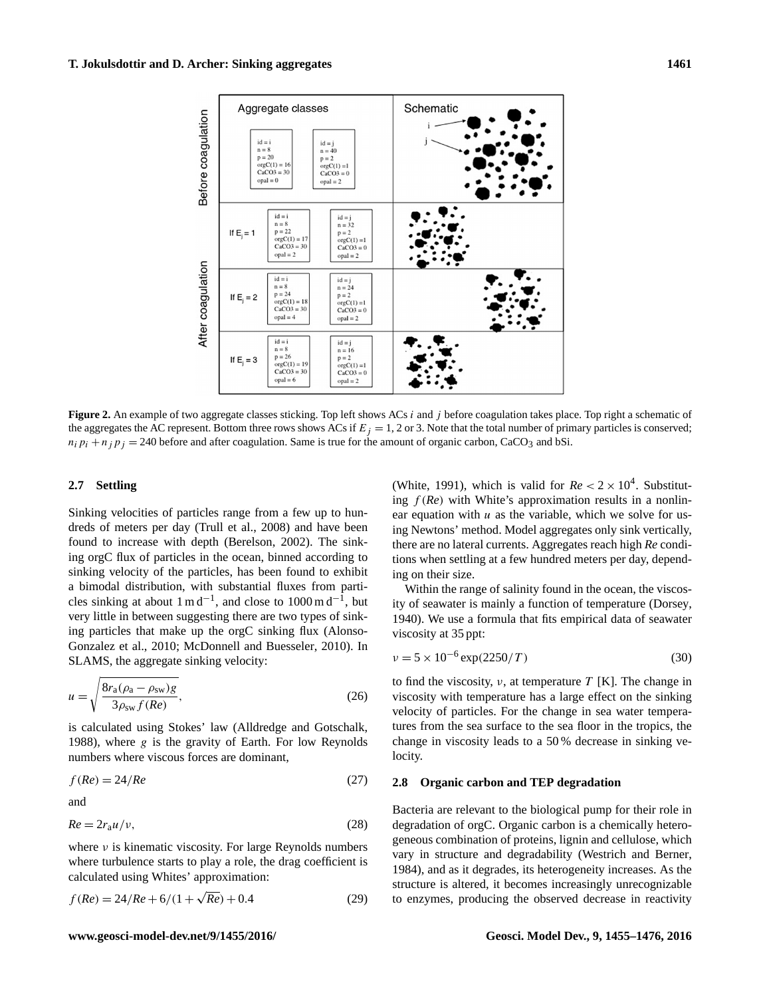<span id="page-6-0"></span>

**Figure 2.** An example of two aggregate classes sticking. Top left shows ACs *i* and *j* before coagulation takes place. Top right a schematic of the aggregates the AC represent. Bottom three rows shows ACs if  $E_i = 1, 2$  or 3. Note that the total number of primary particles is conserved;  $n_i p_i + n_j p_j = 240$  before and after coagulation. Same is true for the amount of organic carbon, CaCO<sub>3</sub> and bSi.

# **2.7 Settling**

Sinking velocities of particles range from a few up to hundreds of meters per day [\(Trull et al.,](#page-21-2) [2008\)](#page-21-2) and have been found to increase with depth [\(Berelson,](#page-17-2) [2002\)](#page-17-2). The sinking orgC flux of particles in the ocean, binned according to sinking velocity of the particles, has been found to exhibit a bimodal distribution, with substantial fluxes from particles sinking at about  $1 \text{ m d}^{-1}$ , and close to  $1000 \text{ m d}^{-1}$ , but very little in between suggesting there are two types of sinking particles that make up the orgC sinking flux [\(Alonso-](#page-17-0)[Gonzalez et al.,](#page-17-0) [2010;](#page-17-0) [McDonnell and Buesseler,](#page-20-10) [2010\)](#page-20-10). In SLAMS, the aggregate sinking velocity:

$$
u = \sqrt{\frac{8r_a(\rho_a - \rho_{sw})g}{3\rho_{sw}f(Re)}},\tag{26}
$$

is calculated using Stokes' law [\(Alldredge and Gotschalk,](#page-17-1) [1988\)](#page-17-1), where  $g$  is the gravity of Earth. For low Reynolds numbers where viscous forces are dominant,

$$
f(Re) = 24/Re \tag{27}
$$

and

$$
Re = 2r_{\rm a}u/\nu,\tag{28}
$$

where  $\nu$  is kinematic viscosity. For large Reynolds numbers where turbulence starts to play a role, the drag coefficient is calculated using Whites' approximation:

$$
f(Re) = 24/Re + 6/(1 + \sqrt{Re}) + 0.4
$$
 (29)

[\(White,](#page-21-3) [1991\)](#page-21-3), which is valid for  $Re < 2 \times 10^4$ . Substituting  $f(Re)$  with White's approximation results in a nonlinear equation with  $u$  as the variable, which we solve for using Newtons' method. Model aggregates only sink vertically, there are no lateral currents. Aggregates reach high *Re* conditions when settling at a few hundred meters per day, depending on their size.

Within the range of salinity found in the ocean, the viscosity of seawater is mainly a function of temperature [\(Dorsey,](#page-18-18) [1940\)](#page-18-18). We use a formula that fits empirical data of seawater viscosity at 35 ppt:

$$
\nu = 5 \times 10^{-6} \exp(2250/T) \tag{30}
$$

to find the viscosity,  $\nu$ , at temperature T [K]. The change in viscosity with temperature has a large effect on the sinking velocity of particles. For the change in sea water temperatures from the sea surface to the sea floor in the tropics, the change in viscosity leads to a 50 % decrease in sinking velocity.

# **2.8 Organic carbon and TEP degradation**

Bacteria are relevant to the biological pump for their role in degradation of orgC. Organic carbon is a chemically heterogeneous combination of proteins, lignin and cellulose, which vary in structure and degradability [\(Westrich and Berner,](#page-21-4) [1984\)](#page-21-4), and as it degrades, its heterogeneity increases. As the structure is altered, it becomes increasingly unrecognizable to enzymes, producing the observed decrease in reactivity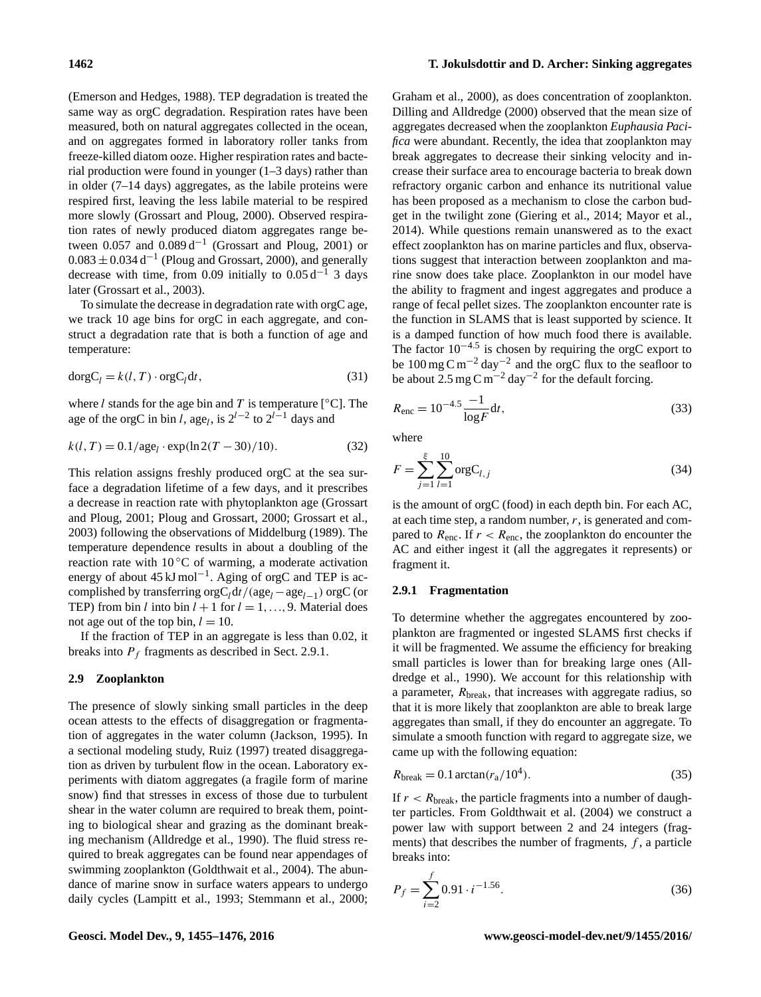[\(Emerson and Hedges,](#page-18-5) [1988\)](#page-18-5). TEP degradation is treated the same way as orgC degradation. Respiration rates have been measured, both on natural aggregates collected in the ocean, and on aggregates formed in laboratory roller tanks from freeze-killed diatom ooze. Higher respiration rates and bacterial production were found in younger (1–3 days) rather than in older (7–14 days) aggregates, as the labile proteins were respired first, leaving the less labile material to be respired more slowly [\(Grossart and Ploug,](#page-18-19) [2000\)](#page-18-19). Observed respiration rates of newly produced diatom aggregates range between  $0.057$  and  $0.089 d^{-1}$  [\(Grossart and Ploug,](#page-19-18) [2001\)](#page-19-18) or  $0.083 \pm 0.034$  d<sup>-1</sup> [\(Ploug and Grossart,](#page-20-11) [2000\)](#page-20-11), and generally decrease with time, from 0.09 initially to  $0.05 d^{-1}$  3 days later [\(Grossart et al.,](#page-19-19) [2003\)](#page-19-19).

To simulate the decrease in degradation rate with orgC age, we track 10 age bins for orgC in each aggregate, and construct a degradation rate that is both a function of age and temperature:

$$
dorgCl = k(l, T) \cdot orgCldt,
$$
\n(31)

where *l* stands for the age bin and *T* is temperature [ $°C$ ]. The age of the orgC in bin l, age<sub>l</sub>, is  $2^{l-2}$  to  $2^{l-1}$  days and

$$
k(l, T) = 0.1/\text{age}_l \cdot \exp(\ln 2(T - 30)/10). \tag{32}
$$

This relation assigns freshly produced orgC at the sea surface a degradation lifetime of a few days, and it prescribes a decrease in reaction rate with phytoplankton age [\(Grossart](#page-19-18) [and Ploug,](#page-19-18) [2001;](#page-19-18) [Ploug and Grossart,](#page-20-11) [2000;](#page-20-11) [Grossart et al.,](#page-19-19) [2003\)](#page-19-19) following the observations of [Middelburg](#page-20-12) [\(1989\)](#page-20-12). The temperature dependence results in about a doubling of the reaction rate with  $10\degree C$  of warming, a moderate activation energy of about  $45 \text{ kJ} \text{ mol}^{-1}$ . Aging of orgC and TEP is accomplished by transferring  $\text{orgC}_l \text{d}t / (\text{age}_l - \text{age}_{l-1}) \text{ orgC (or }$ TEP) from bin l into bin  $l + 1$  for  $l = 1, ..., 9$ . Material does not age out of the top bin,  $l = 10$ .

If the fraction of TEP in an aggregate is less than 0.02, it breaks into  $P_f$  fragments as described in Sect. [2.9.1.](#page-7-0)

# **2.9 Zooplankton**

The presence of slowly sinking small particles in the deep ocean attests to the effects of disaggregation or fragmentation of aggregates in the water column [\(Jackson,](#page-19-15) [1995\)](#page-19-15). In a sectional modeling study, [Ruiz](#page-20-13) [\(1997\)](#page-20-13) treated disaggregation as driven by turbulent flow in the ocean. Laboratory experiments with diatom aggregates (a fragile form of marine snow) find that stresses in excess of those due to turbulent shear in the water column are required to break them, pointing to biological shear and grazing as the dominant breaking mechanism [\(Alldredge et al.,](#page-17-5) [1990\)](#page-17-5). The fluid stress required to break aggregates can be found near appendages of swimming zooplankton [\(Goldthwait et al.,](#page-18-20) [2004\)](#page-18-20). The abundance of marine snow in surface waters appears to undergo daily cycles [\(Lampitt et al.,](#page-19-20) [1993;](#page-19-20) [Stemmann et al.,](#page-20-14) [2000;](#page-20-14)

[Graham et al.,](#page-18-21) [2000\)](#page-18-21), as does concentration of zooplankton. [Dilling and Alldredge](#page-18-22) [\(2000\)](#page-18-22) observed that the mean size of aggregates decreased when the zooplankton *Euphausia Pacifica* were abundant. Recently, the idea that zooplankton may break aggregates to decrease their sinking velocity and increase their surface area to encourage bacteria to break down refractory organic carbon and enhance its nutritional value has been proposed as a mechanism to close the carbon budget in the twilight zone [\(Giering et al.,](#page-18-23) [2014;](#page-18-23) [Mayor et al.,](#page-20-15) [2014\)](#page-20-15). While questions remain unanswered as to the exact effect zooplankton has on marine particles and flux, observations suggest that interaction between zooplankton and marine snow does take place. Zooplankton in our model have the ability to fragment and ingest aggregates and produce a range of fecal pellet sizes. The zooplankton encounter rate is the function in SLAMS that is least supported by science. It is a damped function of how much food there is available. The factor  $10^{-4.5}$  is chosen by requiring the orgC export to be 100 mg C m−<sup>2</sup> day−<sup>2</sup> and the orgC flux to the seafloor to be about  $2.5 \text{ mg C m}^{-2} \text{ day}^{-2}$  for the default forcing.

<span id="page-7-3"></span><span id="page-7-1"></span>
$$
R_{\rm enc} = 10^{-4.5} \frac{-1}{\log F} \, \mathrm{d}t,\tag{33}
$$

where

$$
F = \sum_{j=1}^{\xi} \sum_{l=1}^{10} \text{orgC}_{l,j} \tag{34}
$$

is the amount of orgC (food) in each depth bin. For each AC, at each time step, a random number,  $r$ , is generated and compared to  $R_{\text{enc}}$ . If  $r < R_{\text{enc}}$ , the zooplankton do encounter the AC and either ingest it (all the aggregates it represents) or fragment it.

# <span id="page-7-0"></span>**2.9.1 Fragmentation**

To determine whether the aggregates encountered by zooplankton are fragmented or ingested SLAMS first checks if it will be fragmented. We assume the efficiency for breaking small particles is lower than for breaking large ones [\(All](#page-17-5)[dredge et al.,](#page-17-5) [1990\)](#page-17-5). We account for this relationship with a parameter,  $R_{break}$ , that increases with aggregate radius, so that it is more likely that zooplankton are able to break large aggregates than small, if they do encounter an aggregate. To simulate a smooth function with regard to aggregate size, we came up with the following equation:

<span id="page-7-2"></span>
$$
R_{\text{break}} = 0.1 \arctan(r_a/10^4). \tag{35}
$$

If  $r < R_{break}$ , the particle fragments into a number of daughter particles. From [Goldthwait et al.](#page-18-20) [\(2004\)](#page-18-20) we construct a power law with support between 2 and 24 integers (fragments) that describes the number of fragments,  $f$ , a particle breaks into:

$$
P_f = \sum_{i=2}^{f} 0.91 \cdot i^{-1.56}.
$$
 (36)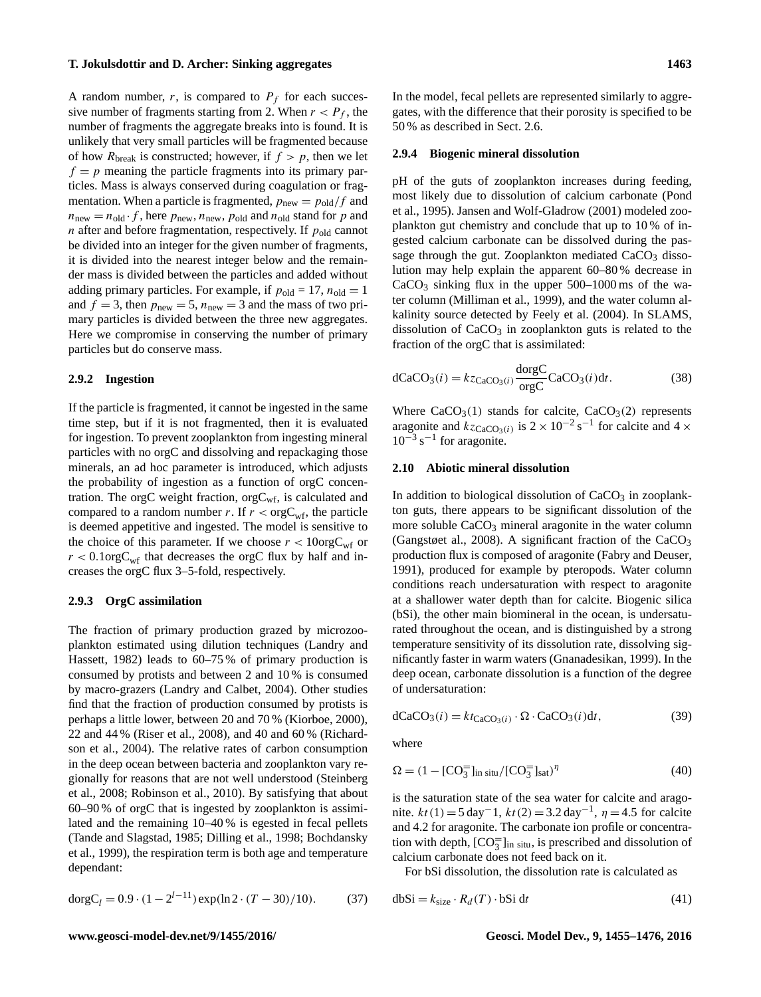A random number,  $r$ , is compared to  $P_f$  for each successive number of fragments starting from 2. When  $r < P_f$ , the number of fragments the aggregate breaks into is found. It is unlikely that very small particles will be fragmented because of how  $R_{break}$  is constructed; however, if  $f > p$ , then we let  $f = p$  meaning the particle fragments into its primary particles. Mass is always conserved during coagulation or fragmentation. When a particle is fragmented,  $p_{\text{new}} = p_{\text{old}}/f$  and  $n_{\text{new}} = n_{\text{old}} \cdot f$ , here  $p_{\text{new}}$ ,  $n_{\text{new}}$ ,  $p_{\text{old}}$  and  $n_{\text{old}}$  stand for p and *n* after and before fragmentation, respectively. If  $p_{old}$  cannot be divided into an integer for the given number of fragments, it is divided into the nearest integer below and the remainder mass is divided between the particles and added without adding primary particles. For example, if  $p_{old} = 17$ ,  $n_{old} = 1$ and  $f = 3$ , then  $p_{\text{new}} = 5$ ,  $n_{\text{new}} = 3$  and the mass of two primary particles is divided between the three new aggregates. Here we compromise in conserving the number of primary particles but do conserve mass.

# **2.9.2 Ingestion**

If the particle is fragmented, it cannot be ingested in the same time step, but if it is not fragmented, then it is evaluated for ingestion. To prevent zooplankton from ingesting mineral particles with no orgC and dissolving and repackaging those minerals, an ad hoc parameter is introduced, which adjusts the probability of ingestion as a function of orgC concentration. The orgC weight fraction,  $orgC<sub>wf</sub>$ , is calculated and compared to a random number r. If  $r < \text{orgC}_{\text{wf}}$ , the particle is deemed appetitive and ingested. The model is sensitive to the choice of this parameter. If we choose  $r < 10 \text{orgC}_{\text{wf}}$  or  $r < 0.1 \text{orgC}_{\text{wf}}$  that decreases the orgC flux by half and increases the orgC flux 3–5-fold, respectively.

# **2.9.3 OrgC assimilation**

The fraction of primary production grazed by microzooplankton estimated using dilution techniques [\(Landry and](#page-19-21) [Hassett,](#page-19-21) [1982\)](#page-19-21) leads to 60–75 % of primary production is consumed by protists and between 2 and 10 % is consumed by macro-grazers [\(Landry and Calbet,](#page-19-22) [2004\)](#page-19-22). Other studies find that the fraction of production consumed by protists is perhaps a little lower, between 20 and 70 % [\(Kiorboe,](#page-19-23) [2000\)](#page-19-23), 22 and 44 % [\(Riser et al.,](#page-20-16) [2008\)](#page-20-16), and 40 and 60 % [\(Richard](#page-20-17)[son et al.,](#page-20-17) [2004\)](#page-20-17). The relative rates of carbon consumption in the deep ocean between bacteria and zooplankton vary regionally for reasons that are not well understood [\(Steinberg](#page-20-18) [et al.,](#page-20-18) [2008;](#page-20-18) [Robinson et al.,](#page-20-19) [2010\)](#page-20-19). By satisfying that about 60–90 % of orgC that is ingested by zooplankton is assimilated and the remaining 10–40 % is egested in fecal pellets [\(Tande and Slagstad,](#page-21-5) [1985;](#page-21-5) [Dilling et al.,](#page-18-24) [1998;](#page-18-24) [Bochdansky](#page-17-10) [et al.,](#page-17-10) [1999\)](#page-17-10), the respiration term is both age and temperature dependant:

$$
dorgCl = 0.9 \cdot (1 - 2l-11) exp(ln2 \cdot (T - 30)/10).
$$
 (37)

In the model, fecal pellets are represented similarly to aggregates, with the difference that their porosity is specified to be 50 % as described in Sect. [2.6.](#page-5-0)

# **2.9.4 Biogenic mineral dissolution**

pH of the guts of zooplankton increases during feeding, most likely due to dissolution of calcium carbonate [\(Pond](#page-20-20) [et al.,](#page-20-20) [1995\)](#page-20-20). [Jansen and Wolf-Gladrow](#page-19-24) [\(2001\)](#page-19-24) modeled zooplankton gut chemistry and conclude that up to 10 % of ingested calcium carbonate can be dissolved during the passage through the gut. Zooplankton mediated  $CaCO<sub>3</sub>$  dissolution may help explain the apparent 60–80 % decrease in  $CaCO<sub>3</sub>$  sinking flux in the upper  $500-1000$  ms of the water column [\(Milliman et al.,](#page-20-21) [1999\)](#page-20-21), and the water column alkalinity source detected by [Feely et al.](#page-18-25) [\(2004\)](#page-18-25). In SLAMS, dissolution of  $CaCO<sub>3</sub>$  in zooplankton guts is related to the fraction of the orgC that is assimilated:

$$
dCaCO3(i) = kzCaCO3(i) \frac{dorgC}{orgC} CaCO3(i) dt.
$$
 (38)

Where  $CaCO<sub>3</sub>(1)$  stands for calcite,  $CaCO<sub>3</sub>(2)$  represents aragonite and  $kz_{\text{CaCO}_3(i)}$  is  $2 \times 10^{-2} \text{ s}^{-1}$  for calcite and  $4 \times$  $10^{-3}$  s<sup>-1</sup> for aragonite.

# **2.10 Abiotic mineral dissolution**

In addition to biological dissolution of  $CaCO<sub>3</sub>$  in zooplankton guts, there appears to be significant dissolution of the more soluble CaCO<sub>3</sub> mineral aragonite in the water column [\(Gangstøet al.,](#page-18-7) [2008\)](#page-18-7). A significant fraction of the  $CaCO<sub>3</sub>$ production flux is composed of aragonite [\(Fabry and Deuser,](#page-18-26) [1991\)](#page-18-26), produced for example by pteropods. Water column conditions reach undersaturation with respect to aragonite at a shallower water depth than for calcite. Biogenic silica (bSi), the other main biomineral in the ocean, is undersaturated throughout the ocean, and is distinguished by a strong temperature sensitivity of its dissolution rate, dissolving significantly faster in warm waters [\(Gnanadesikan,](#page-18-8) [1999\)](#page-18-8). In the deep ocean, carbonate dissolution is a function of the degree of undersaturation:

$$
dCaCO3(i) = ktCaCO3(i) \cdot \Omega \cdot CaCO3(i) dt,
$$
 (39)

where

$$
\Omega = (1 - [CO3=]_{\text{in situ}}/[CO3=]_{\text{sat}})\eta
$$
\n(40)

is the saturation state of the sea water for calcite and aragonite.  $kt(1) = 5 \text{ day}^{-1}$ ,  $kt(2) = 3.2 \text{ day}^{-1}$ ,  $\eta = 4.5$  for calcite and 4.2 for aragonite. The carbonate ion profile or concentration with depth,  $[CO_3^{\dagger}]_{\text{in situ}}$ , is prescribed and dissolution of calcium carbonate does not feed back on it.

For bSi dissolution, the dissolution rate is calculated as

$$
dbSi = k_{size} \cdot R_d(T) \cdot bSi \, dt \tag{41}
$$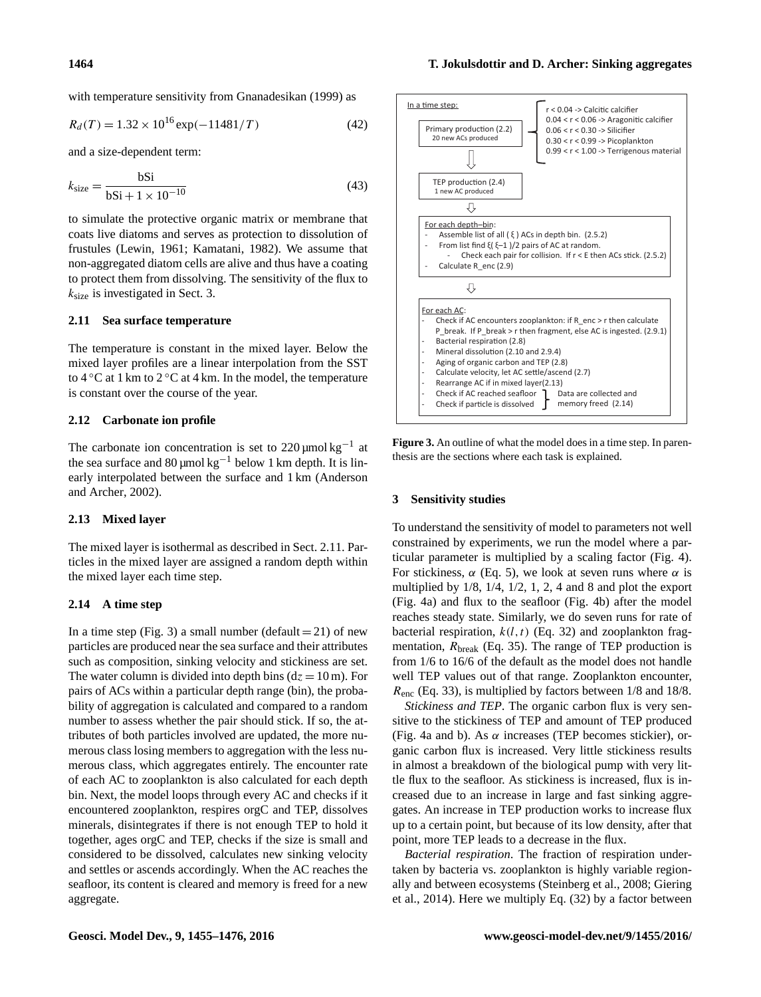with temperature sensitivity from [Gnanadesikan](#page-18-8) [\(1999\)](#page-18-8) as

$$
R_d(T) = 1.32 \times 10^{16} \exp(-11481/T) \tag{42}
$$

and a size-dependent term:

$$
k_{\text{size}} = \frac{\text{bSi}}{\text{bSi} + 1 \times 10^{-10}}\tag{43}
$$

to simulate the protective organic matrix or membrane that coats live diatoms and serves as protection to dissolution of frustules [\(Lewin,](#page-19-25) [1961;](#page-19-25) [Kamatani,](#page-19-26) [1982\)](#page-19-26). We assume that non-aggregated diatom cells are alive and thus have a coating to protect them from dissolving. The sensitivity of the flux to  $k<sub>size</sub>$  is investigated in Sect. [3.](#page-9-0)

### <span id="page-9-1"></span>**2.11 Sea surface temperature**

The temperature is constant in the mixed layer. Below the mixed layer profiles are a linear interpolation from the SST to  $4^{\circ}$ C at 1 km to  $2^{\circ}$ C at 4 km. In the model, the temperature is constant over the course of the year.

# **2.12 Carbonate ion profile**

The carbonate ion concentration is set to  $220 \mu$ mol kg<sup>-1</sup> at the sea surface and 80 µmol kg<sup>-1</sup> below 1 km depth. It is linearly interpolated between the surface and 1 km [\(Anderson](#page-17-11) [and Archer,](#page-17-11) [2002\)](#page-17-11).

# **2.13 Mixed layer**

The mixed layer is isothermal as described in Sect. [2.11.](#page-9-1) Particles in the mixed layer are assigned a random depth within the mixed layer each time step.

# **2.14 A time step**

In a time step (Fig. [3\)](#page-9-2) a small number (default  $= 21$ ) of new particles are produced near the sea surface and their attributes such as composition, sinking velocity and stickiness are set. The water column is divided into depth bins  $(dz = 10 \text{ m})$ . For pairs of ACs within a particular depth range (bin), the probability of aggregation is calculated and compared to a random number to assess whether the pair should stick. If so, the attributes of both particles involved are updated, the more numerous class losing members to aggregation with the less numerous class, which aggregates entirely. The encounter rate of each AC to zooplankton is also calculated for each depth bin. Next, the model loops through every AC and checks if it encountered zooplankton, respires orgC and TEP, dissolves minerals, disintegrates if there is not enough TEP to hold it together, ages orgC and TEP, checks if the size is small and considered to be dissolved, calculates new sinking velocity and settles or ascends accordingly. When the AC reaches the seafloor, its content is cleared and memory is freed for a new aggregate.

<span id="page-9-2"></span>

**Figure 3.** An outline of what the model does in a time step. In parenthesis are the sections where each task is explained.

#### <span id="page-9-0"></span>**3 Sensitivity studies**

To understand the sensitivity of model to parameters not well constrained by experiments, we run the model where a particular parameter is multiplied by a scaling factor (Fig. [4\)](#page-10-0). For stickiness,  $\alpha$  (Eq. [5\)](#page-4-2), we look at seven runs where  $\alpha$  is multiplied by 1/8, 1/4, 1/2, 1, 2, 4 and 8 and plot the export (Fig. [4a](#page-10-0)) and flux to the seafloor (Fig. [4b](#page-10-0)) after the model reaches steady state. Similarly, we do seven runs for rate of bacterial respiration,  $k(l, t)$  (Eq. [32\)](#page-7-1) and zooplankton fragmentation,  $R_{break}$  (Eq. [35\)](#page-7-2). The range of TEP production is from 1/6 to 16/6 of the default as the model does not handle well TEP values out of that range. Zooplankton encounter,  $R_{\text{enc}}$  (Eq. [33\)](#page-7-3), is multiplied by factors between 1/8 and 18/8.

*Stickiness and TEP*. The organic carbon flux is very sensitive to the stickiness of TEP and amount of TEP produced (Fig. [4a](#page-10-0) and b). As  $\alpha$  increases (TEP becomes stickier), organic carbon flux is increased. Very little stickiness results in almost a breakdown of the biological pump with very little flux to the seafloor. As stickiness is increased, flux is increased due to an increase in large and fast sinking aggregates. An increase in TEP production works to increase flux up to a certain point, but because of its low density, after that point, more TEP leads to a decrease in the flux.

*Bacterial respiration*. The fraction of respiration undertaken by bacteria vs. zooplankton is highly variable regionally and between ecosystems [\(Steinberg et al.,](#page-20-18) [2008;](#page-20-18) [Giering](#page-18-23) [et al.,](#page-18-23) [2014\)](#page-18-23). Here we multiply Eq. [\(32\)](#page-7-1) by a factor between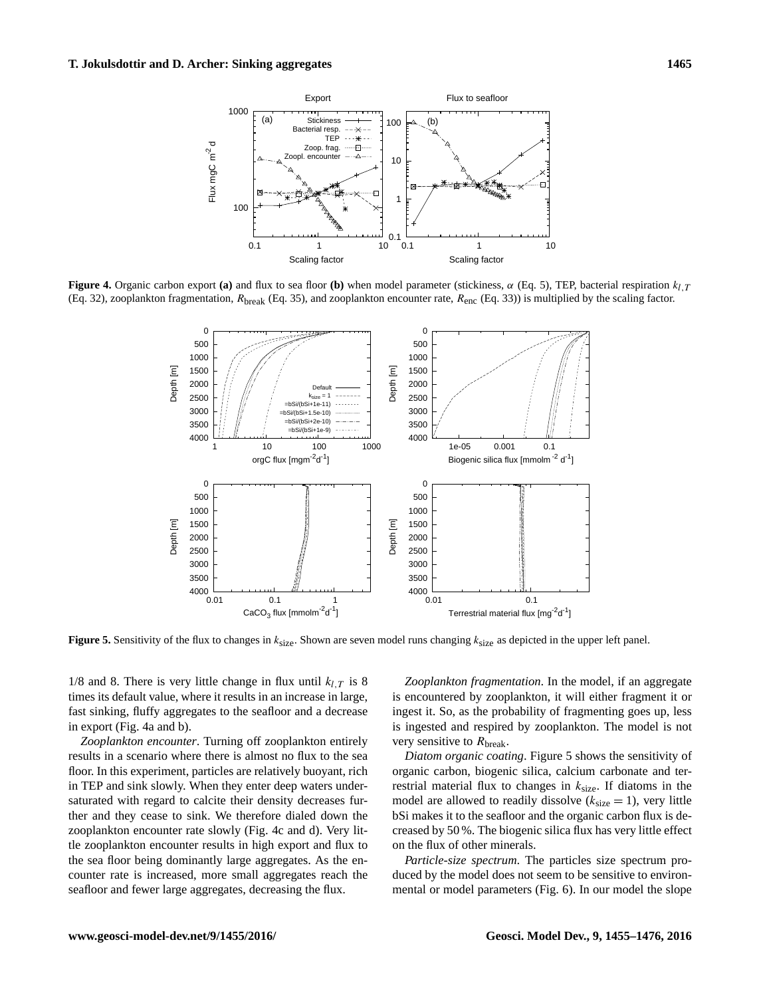<span id="page-10-0"></span>

<span id="page-10-1"></span>**Figure 4.** Organic carbon export **(a)** and flux to sea floor **(b)** when model parameter (stickiness,  $\alpha$  (Eq. [5\)](#page-4-2), TEP, bacterial respiration  $k_{LT}$ (Eq. [32\)](#page-7-1), zooplankton fragmentation,  $R_{break}$  (Eq. [35\)](#page-7-2), and zooplankton encounter rate,  $R_{enc}$  (Eq. [33\)](#page-7-3)) is multiplied by the scaling factor.



**Figure 5.** Sensitivity of the flux to changes in  $k_{size}$ . Shown are seven model runs changing  $k_{size}$  as depicted in the upper left panel.

1/8 and 8. There is very little change in flux until  $k_{l,T}$  is 8 times its default value, where it results in an increase in large, fast sinking, fluffy aggregates to the seafloor and a decrease in export (Fig. [4a](#page-10-0) and b).

*Zooplankton encounter*. Turning off zooplankton entirely results in a scenario where there is almost no flux to the sea floor. In this experiment, particles are relatively buoyant, rich in TEP and sink slowly. When they enter deep waters undersaturated with regard to calcite their density decreases further and they cease to sink. We therefore dialed down the zooplankton encounter rate slowly (Fig. [4c](#page-10-0) and d). Very little zooplankton encounter results in high export and flux to the sea floor being dominantly large aggregates. As the encounter rate is increased, more small aggregates reach the seafloor and fewer large aggregates, decreasing the flux.

*Zooplankton fragmentation*. In the model, if an aggregate is encountered by zooplankton, it will either fragment it or ingest it. So, as the probability of fragmenting goes up, less is ingested and respired by zooplankton. The model is not very sensitive to  $R_{\text{break}}$ .

*Diatom organic coating*. Figure [5](#page-10-1) shows the sensitivity of organic carbon, biogenic silica, calcium carbonate and terrestrial material flux to changes in  $k_{size}$ . If diatoms in the model are allowed to readily dissolve  $(k_{size} = 1)$ , very little bSi makes it to the seafloor and the organic carbon flux is decreased by 50 %. The biogenic silica flux has very little effect on the flux of other minerals.

*Particle-size spectrum*. The particles size spectrum produced by the model does not seem to be sensitive to environmental or model parameters (Fig. [6\)](#page-11-0). In our model the slope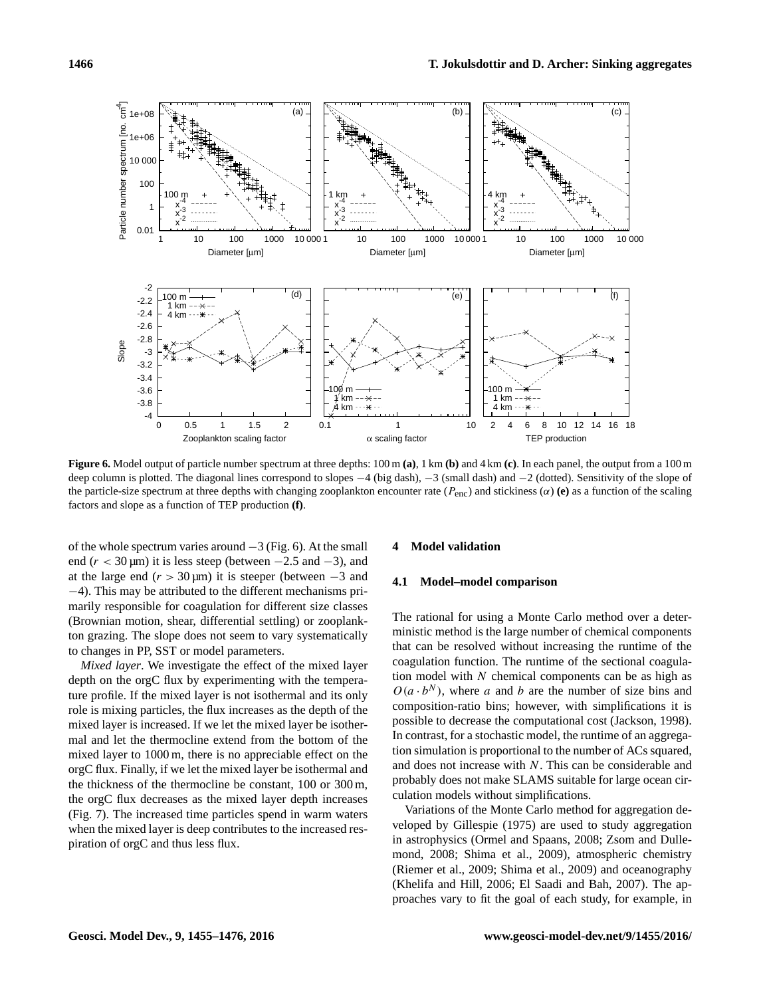<span id="page-11-0"></span>

**Figure 6.** Model output of particle number spectrum at three depths: 100 m **(a)**, 1 km **(b)** and 4 km **(c)**. In each panel, the output from a 100 m deep column is plotted. The diagonal lines correspond to slopes −4 (big dash), −3 (small dash) and −2 (dotted). Sensitivity of the slope of the particle-size spectrum at three depths with changing zooplankton encounter rate (Penc) and stickiness (α) **(e)** as a function of the scaling factors and slope as a function of TEP production **(f)**.

of the whole spectrum varies around  $-3$  (Fig. [6\)](#page-11-0). At the small end ( $r < 30 \,\text{\mu m}$ ) it is less steep (between  $-2.5$  and  $-3$ ), and at the large end  $(r > 30 \,\text{\mu m})$  it is steeper (between  $-3$  and −4). This may be attributed to the different mechanisms primarily responsible for coagulation for different size classes (Brownian motion, shear, differential settling) or zooplankton grazing. The slope does not seem to vary systematically to changes in PP, SST or model parameters.

*Mixed layer*. We investigate the effect of the mixed layer depth on the orgC flux by experimenting with the temperature profile. If the mixed layer is not isothermal and its only role is mixing particles, the flux increases as the depth of the mixed layer is increased. If we let the mixed layer be isothermal and let the thermocline extend from the bottom of the mixed layer to 1000 m, there is no appreciable effect on the orgC flux. Finally, if we let the mixed layer be isothermal and the thickness of the thermocline be constant, 100 or 300 m, the orgC flux decreases as the mixed layer depth increases (Fig. [7\)](#page-12-0). The increased time particles spend in warm waters when the mixed layer is deep contributes to the increased respiration of orgC and thus less flux.

# **4 Model validation**

#### **4.1 Model–model comparison**

The rational for using a Monte Carlo method over a deterministic method is the large number of chemical components that can be resolved without increasing the runtime of the coagulation function. The runtime of the sectional coagulation model with  $N$  chemical components can be as high as  $O(a \cdot b^N)$ , where a and b are the number of size bins and composition-ratio bins; however, with simplifications it is possible to decrease the computational cost [\(Jackson,](#page-19-27) [1998\)](#page-19-27). In contrast, for a stochastic model, the runtime of an aggregation simulation is proportional to the number of ACs squared, and does not increase with N. This can be considerable and probably does not make SLAMS suitable for large ocean circulation models without simplifications.

Variations of the Monte Carlo method for aggregation developed by [Gillespie](#page-18-27) [\(1975\)](#page-18-27) are used to study aggregation in astrophysics [\(Ormel and Spaans,](#page-20-22) [2008;](#page-20-22) [Zsom and Dulle](#page-21-6)[mond,](#page-21-6) [2008;](#page-21-6) [Shima et al.,](#page-20-23) [2009\)](#page-20-23), atmospheric chemistry [\(Riemer et al.,](#page-20-24) [2009;](#page-20-24) [Shima et al.,](#page-20-23) [2009\)](#page-20-23) and oceanography [\(Khelifa and Hill,](#page-19-28) [2006;](#page-19-28) [El Saadi and Bah,](#page-18-28) [2007\)](#page-18-28). The approaches vary to fit the goal of each study, for example, in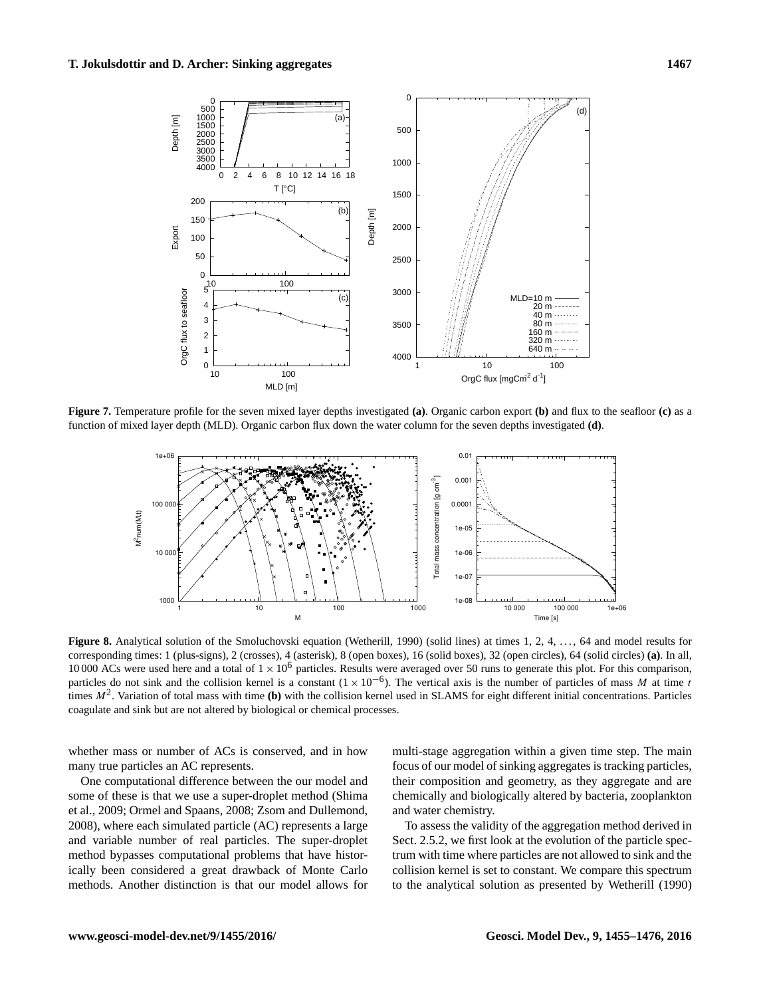<span id="page-12-0"></span>

<span id="page-12-1"></span>**Figure 7.** Temperature profile for the seven mixed layer depths investigated **(a)**. Organic carbon export **(b)** and flux to the seafloor **(c)** as a function of mixed layer depth (MLD). Organic carbon flux down the water column for the seven depths investigated **(d)**.



**Figure 8.** Analytical solution of the Smoluchovski equation [\(Wetherill,](#page-21-7) [1990\)](#page-21-7) (solid lines) at times 1, 2, 4, ..., 64 and model results for corresponding times: 1 (plus-signs), 2 (crosses), 4 (asterisk), 8 (open boxes), 16 (solid boxes), 32 (open circles), 64 (solid circles) **(a)**. In all, 10 000 ACs were used here and a total of  $1 \times 10^6$  particles. Results were averaged over 50 runs to generate this plot. For this comparison, particles do not sink and the collision kernel is a constant  $(1 \times 10^{-6})$ . The vertical axis is the number of particles of mass M at time t times  $M^2$ . Variation of total mass with time (b) with the collision kernel used in SLAMS for eight different initial concentrations. Particles coagulate and sink but are not altered by biological or chemical processes.

whether mass or number of ACs is conserved, and in how many true particles an AC represents.

One computational difference between the our model and some of these is that we use a super-droplet method [\(Shima](#page-20-23) [et al.,](#page-20-23) [2009;](#page-20-23) [Ormel and Spaans,](#page-20-22) [2008;](#page-20-22) [Zsom and Dullemond,](#page-21-6) [2008\)](#page-21-6), where each simulated particle (AC) represents a large and variable number of real particles. The super-droplet method bypasses computational problems that have historically been considered a great drawback of Monte Carlo methods. Another distinction is that our model allows for multi-stage aggregation within a given time step. The main focus of our model of sinking aggregates is tracking particles, their composition and geometry, as they aggregate and are chemically and biologically altered by bacteria, zooplankton and water chemistry.

To assess the validity of the aggregation method derived in Sect. [2.5.2,](#page-4-3) we first look at the evolution of the particle spectrum with time where particles are not allowed to sink and the collision kernel is set to constant. We compare this spectrum to the analytical solution as presented by [Wetherill](#page-21-7) [\(1990\)](#page-21-7)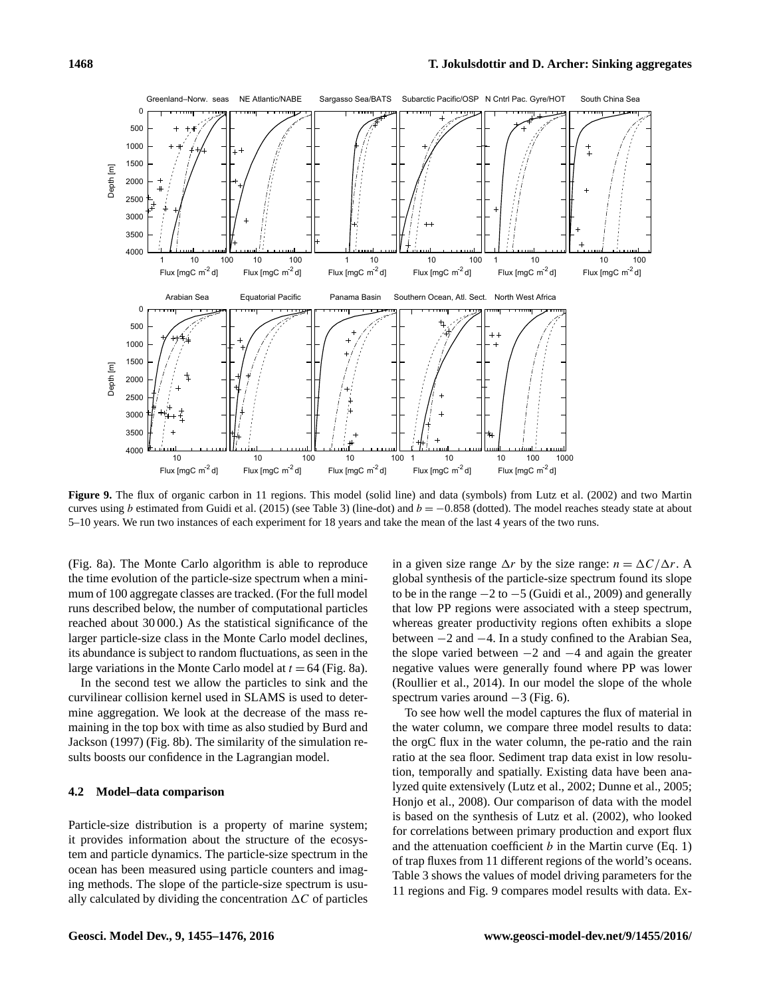<span id="page-13-0"></span>

**Figure 9.** The flux of organic carbon in 11 regions. This model (solid line) and data (symbols) from [Lutz et al.](#page-19-9) [\(2002\)](#page-19-9) and two Martin curves using b estimated from [Guidi et al.](#page-19-5) [\(2015\)](#page-19-5) (see Table [3\)](#page-14-0) (line-dot) and  $b = -0.858$  (dotted). The model reaches steady state at about 5–10 years. We run two instances of each experiment for 18 years and take the mean of the last 4 years of the two runs.

(Fig. [8a](#page-12-1)). The Monte Carlo algorithm is able to reproduce the time evolution of the particle-size spectrum when a minimum of 100 aggregate classes are tracked. (For the full model runs described below, the number of computational particles reached about 30 000.) As the statistical significance of the larger particle-size class in the Monte Carlo model declines, its abundance is subject to random fluctuations, as seen in the large variations in the Monte Carlo model at  $t = 64$  (Fig. [8a](#page-12-1)).

In the second test we allow the particles to sink and the curvilinear collision kernel used in SLAMS is used to determine aggregation. We look at the decrease of the mass remaining in the top box with time as also studied by [Burd and](#page-18-15) [Jackson](#page-18-15) [\(1997\)](#page-18-15) (Fig. [8b](#page-12-1)). The similarity of the simulation results boosts our confidence in the Lagrangian model.

# **4.2 Model–data comparison**

Particle-size distribution is a property of marine system; it provides information about the structure of the ecosystem and particle dynamics. The particle-size spectrum in the ocean has been measured using particle counters and imaging methods. The slope of the particle-size spectrum is usually calculated by dividing the concentration  $\Delta C$  of particles in a given size range  $\Delta r$  by the size range:  $n = \Delta C/\Delta r$ . A global synthesis of the particle-size spectrum found its slope to be in the range  $-2$  to  $-5$  [\(Guidi et al.,](#page-19-1) [2009\)](#page-19-1) and generally that low PP regions were associated with a steep spectrum, whereas greater productivity regions often exhibits a slope between −2 and −4. In a study confined to the Arabian Sea, the slope varied between  $-2$  and  $-4$  and again the greater negative values were generally found where PP was lower [\(Roullier et al.,](#page-20-25) [2014\)](#page-20-25). In our model the slope of the whole spectrum varies around  $-3$  (Fig. [6\)](#page-11-0).

To see how well the model captures the flux of material in the water column, we compare three model results to data: the orgC flux in the water column, the pe-ratio and the rain ratio at the sea floor. Sediment trap data exist in low resolution, temporally and spatially. Existing data have been analyzed quite extensively [\(Lutz et al.,](#page-19-9) [2002;](#page-19-9) [Dunne et al.,](#page-18-29) [2005;](#page-18-29) [Honjo et al.,](#page-19-29) [2008\)](#page-19-29). Our comparison of data with the model is based on the synthesis of [Lutz et al.](#page-19-9) [\(2002\)](#page-19-9), who looked for correlations between primary production and export flux and the attenuation coefficient  $b$  in the Martin curve (Eq. [1\)](#page-1-0) of trap fluxes from 11 different regions of the world's oceans. Table [3](#page-14-0) shows the values of model driving parameters for the 11 regions and Fig. [9](#page-13-0) compares model results with data. Ex-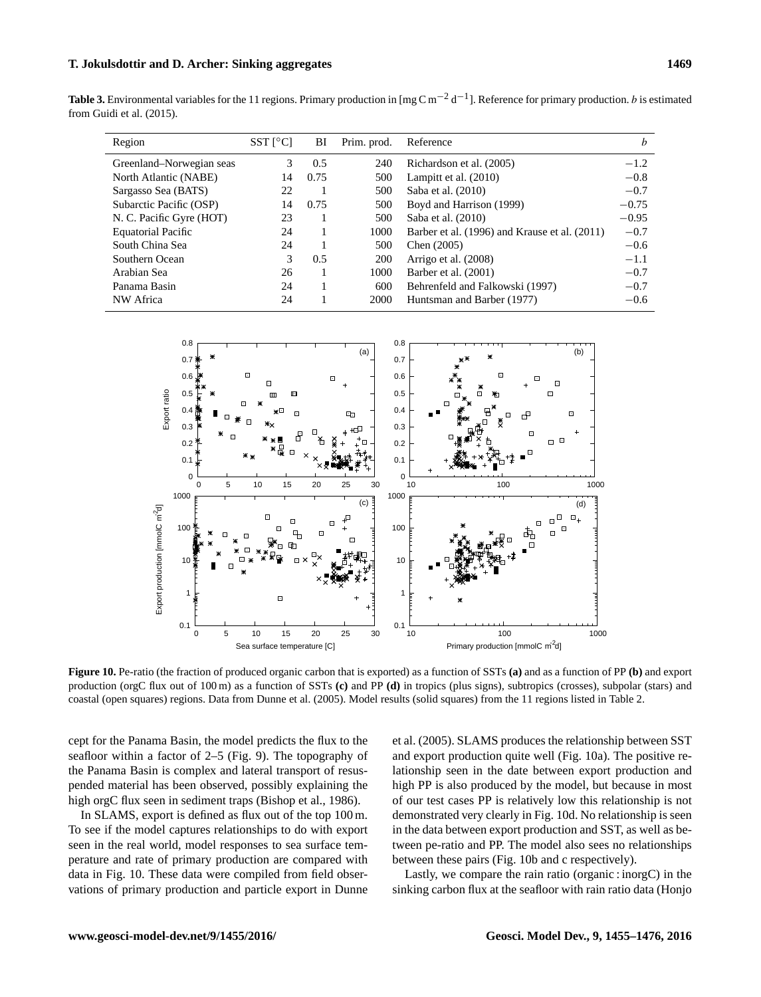<span id="page-14-0"></span>**Table 3.** Environmental variables for the 11 regions. Primary production in  $[\text{mg C m}^{-2} \text{d}^{-1}]$ . Reference for primary production. *b* is estimated from [Guidi et al.](#page-19-5) [\(2015\)](#page-19-5).

| Region                    | $SST$ [ $^{\circ}$ C] | BI   | Prim. prod. | Reference                                     | b       |
|---------------------------|-----------------------|------|-------------|-----------------------------------------------|---------|
| Greenland–Norwegian seas  | 3                     | 0.5  | 240         | Richardson et al. (2005)                      | $-1.2$  |
| North Atlantic (NABE)     | 14                    | 0.75 | 500         | Lampitt et al. $(2010)$                       | $-0.8$  |
| Sargasso Sea (BATS)       | 22                    |      | 500         | Saba et al. (2010)                            | $-0.7$  |
| Subarctic Pacific (OSP)   | 14                    | 0.75 | 500         | Boyd and Harrison (1999)                      | $-0.75$ |
| N. C. Pacific Gyre (HOT)  | 23                    |      | 500         | Saba et al. (2010)                            | $-0.95$ |
| <b>Equatorial Pacific</b> | 24                    |      | 1000        | Barber et al. (1996) and Krause et al. (2011) | $-0.7$  |
| South China Sea           | 24                    |      | 500         | Chen (2005)                                   | $-0.6$  |
| Southern Ocean            | 3                     | 0.5  | 200         | Arrigo et al. (2008)                          | $-1.1$  |
| Arabian Sea               | 26                    |      | 1000        | Barber et al. (2001)                          | $-0.7$  |
| Panama Basin              | 24                    |      | 600         | Behrenfeld and Falkowski (1997)               | $-0.7$  |
| NW Africa                 | 24                    |      | 2000        | Huntsman and Barber (1977)                    | $-0.6$  |

<span id="page-14-1"></span>

**Figure 10.** Pe-ratio (the fraction of produced organic carbon that is exported) as a function of SSTs **(a)** and as a function of PP **(b)** and export production (orgC flux out of 100 m) as a function of SSTs **(c)** and PP **(d)** in tropics (plus signs), subtropics (crosses), subpolar (stars) and coastal (open squares) regions. Data from [Dunne et al.](#page-18-29) [\(2005\)](#page-18-29). Model results (solid squares) from the 11 regions listed in Table [2.](#page-3-0)

cept for the Panama Basin, the model predicts the flux to the seafloor within a factor of 2–5 (Fig. [9\)](#page-13-0). The topography of the Panama Basin is complex and lateral transport of resuspended material has been observed, possibly explaining the high orgC flux seen in sediment traps [\(Bishop et al.,](#page-17-17) [1986\)](#page-17-17).

In SLAMS, export is defined as flux out of the top 100 m. To see if the model captures relationships to do with export seen in the real world, model responses to sea surface temperature and rate of primary production are compared with data in Fig. [10.](#page-14-1) These data were compiled from field observations of primary production and particle export in [Dunne](#page-18-29) [et al.](#page-18-29) [\(2005\)](#page-18-29). SLAMS produces the relationship between SST and export production quite well (Fig. [10a](#page-14-1)). The positive relationship seen in the date between export production and high PP is also produced by the model, but because in most of our test cases PP is relatively low this relationship is not demonstrated very clearly in Fig. [10d](#page-14-1). No relationship is seen in the data between export production and SST, as well as between pe-ratio and PP. The model also sees no relationships between these pairs (Fig. [10b](#page-14-1) and c respectively).

Lastly, we compare the rain ratio (organic : inorgC) in the sinking carbon flux at the seafloor with rain ratio data [\(Honjo](#page-19-29)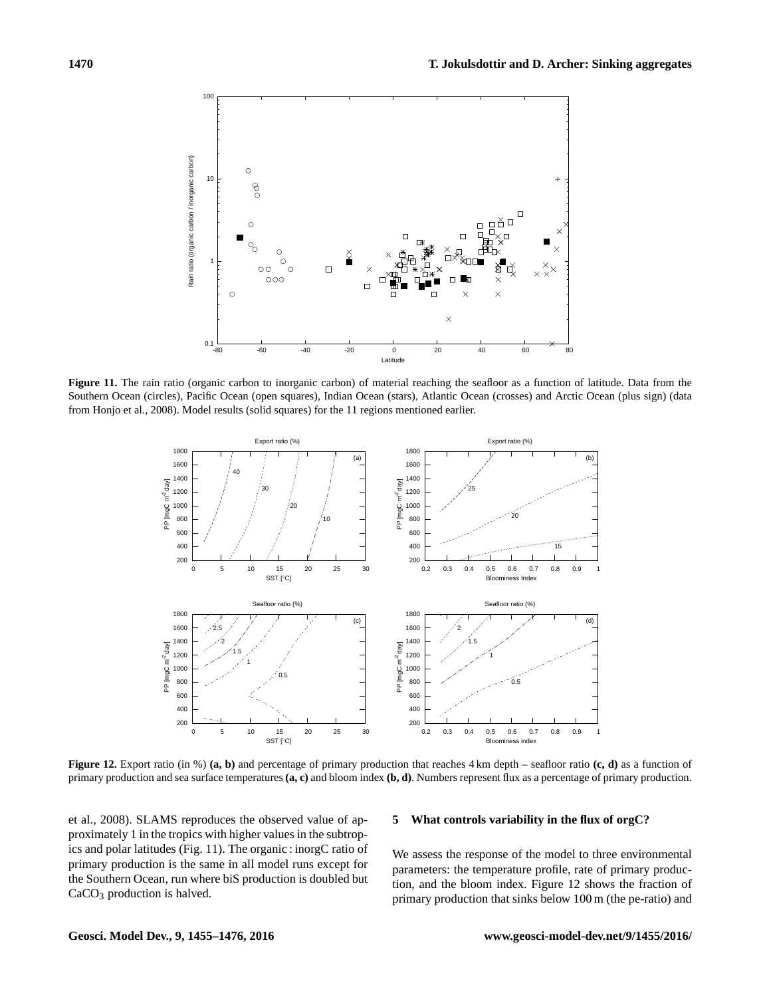<span id="page-15-0"></span>

<span id="page-15-1"></span>**Figure 11.** The rain ratio (organic carbon to inorganic carbon) of material reaching the seafloor as a function of latitude. Data from the Southern Ocean (circles), Pacific Ocean (open squares), Indian Ocean (stars), Atlantic Ocean (crosses) and Arctic Ocean (plus sign) (data from [Honjo et al.,](#page-19-29) [2008\)](#page-19-29). Model results (solid squares) for the 11 regions mentioned earlier.



**Figure 12.** Export ratio (in %) (a, b) and percentage of primary production that reaches 4 km depth – seafloor ratio (c, d) as a function of primary production and sea surface temperatures **(a, c)** and bloom index **(b, d)**. Numbers represent flux as a percentage of primary production.

[et al.,](#page-19-29) [2008\)](#page-19-29). SLAMS reproduces the observed value of approximately 1 in the tropics with higher values in the subtropics and polar latitudes (Fig. [11\)](#page-15-0). The organic : inorgC ratio of primary production is the same in all model runs except for the Southern Ocean, run where biS production is doubled but CaCO<sub>3</sub> production is halved.

# **5 What controls variability in the flux of orgC?**

We assess the response of the model to three environmental parameters: the temperature profile, rate of primary production, and the bloom index. Figure [12](#page-15-1) shows the fraction of primary production that sinks below 100 m (the pe-ratio) and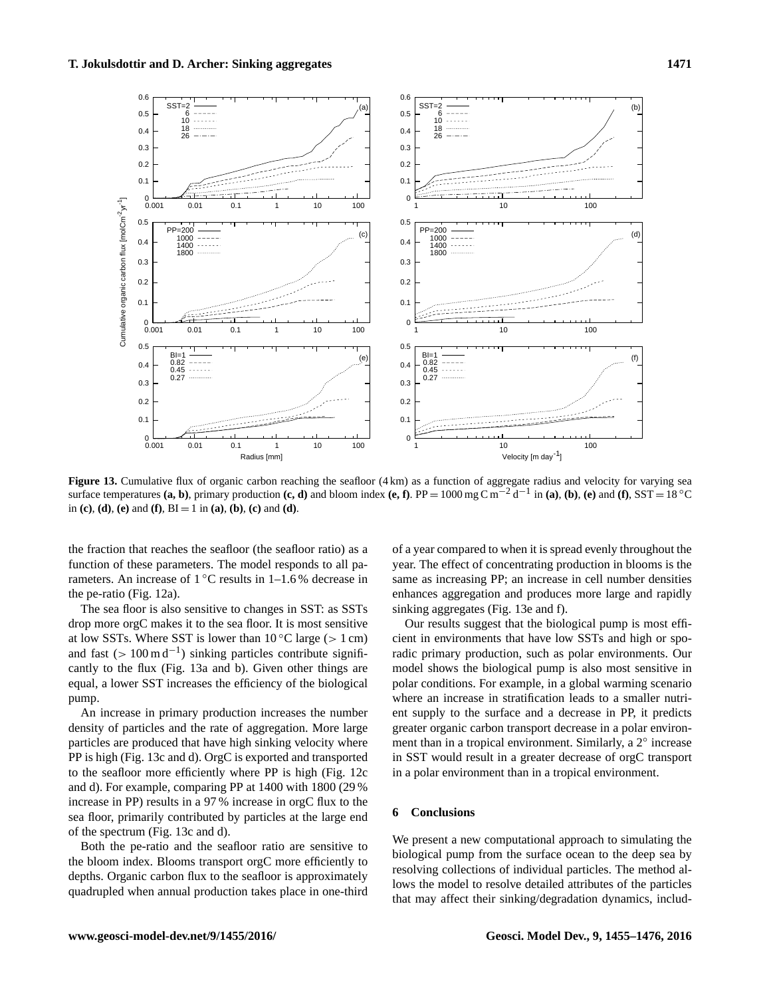<span id="page-16-0"></span>

Figure 13. Cumulative flux of organic carbon reaching the seafloor (4 km) as a function of aggregate radius and velocity for varying sea surface temperatures  $(a, b)$ , primary production  $(c, d)$  and bloom index  $(e, f)$ . PP = 1000 mg C m<sup>-2</sup> d<sup>-1</sup> in  $(a)$ ,  $(b)$ ,  $(e)$  and  $(f)$ , SST = 18 °C in **(c)**, **(d)**, **(e)** and **(f)**,  $BI = 1$  in **(a)**, **(b)**, **(c)** and **(d)**.

the fraction that reaches the seafloor (the seafloor ratio) as a function of these parameters. The model responds to all parameters. An increase of  $1^{\circ}$ C results in 1–1.6 % decrease in the pe-ratio (Fig. [12a](#page-15-1)).

The sea floor is also sensitive to changes in SST: as SSTs drop more orgC makes it to the sea floor. It is most sensitive at low SSTs. Where SST is lower than  $10^{\circ}$ C large (> 1 cm) and fast  $(> 100 \text{ m d}^{-1})$  sinking particles contribute significantly to the flux (Fig. [13a](#page-16-0) and b). Given other things are equal, a lower SST increases the efficiency of the biological pump.

An increase in primary production increases the number density of particles and the rate of aggregation. More large particles are produced that have high sinking velocity where PP is high (Fig. [13c](#page-16-0) and d). OrgC is exported and transported to the seafloor more efficiently where PP is high (Fig. [12c](#page-15-1) and d). For example, comparing PP at 1400 with 1800 (29 % increase in PP) results in a 97 % increase in orgC flux to the sea floor, primarily contributed by particles at the large end of the spectrum (Fig. [13c](#page-16-0) and d).

Both the pe-ratio and the seafloor ratio are sensitive to the bloom index. Blooms transport orgC more efficiently to depths. Organic carbon flux to the seafloor is approximately quadrupled when annual production takes place in one-third

of a year compared to when it is spread evenly throughout the year. The effect of concentrating production in blooms is the same as increasing PP; an increase in cell number densities enhances aggregation and produces more large and rapidly sinking aggregates (Fig. [13e](#page-16-0) and f).

Our results suggest that the biological pump is most efficient in environments that have low SSTs and high or sporadic primary production, such as polar environments. Our model shows the biological pump is also most sensitive in polar conditions. For example, in a global warming scenario where an increase in stratification leads to a smaller nutrient supply to the surface and a decrease in PP, it predicts greater organic carbon transport decrease in a polar environment than in a tropical environment. Similarly, a 2° increase in SST would result in a greater decrease of orgC transport in a polar environment than in a tropical environment.

# **6 Conclusions**

We present a new computational approach to simulating the biological pump from the surface ocean to the deep sea by resolving collections of individual particles. The method allows the model to resolve detailed attributes of the particles that may affect their sinking/degradation dynamics, includ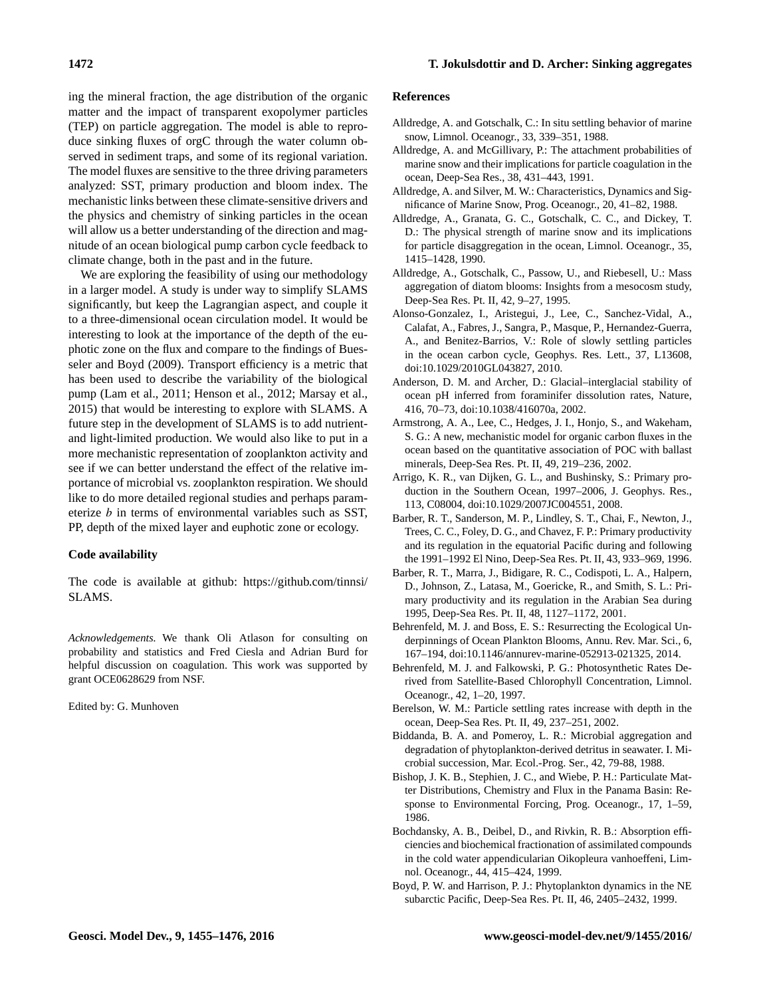ing the mineral fraction, the age distribution of the organic matter and the impact of transparent exopolymer particles (TEP) on particle aggregation. The model is able to reproduce sinking fluxes of orgC through the water column observed in sediment traps, and some of its regional variation. The model fluxes are sensitive to the three driving parameters analyzed: SST, primary production and bloom index. The mechanistic links between these climate-sensitive drivers and the physics and chemistry of sinking particles in the ocean will allow us a better understanding of the direction and magnitude of an ocean biological pump carbon cycle feedback to climate change, both in the past and in the future.

We are exploring the feasibility of using our methodology in a larger model. A study is under way to simplify SLAMS significantly, but keep the Lagrangian aspect, and couple it to a three-dimensional ocean circulation model. It would be interesting to look at the importance of the depth of the euphotic zone on the flux and compare to the findings of [Bues](#page-18-31)[seler and Boyd](#page-18-31) [\(2009\)](#page-18-31). Transport efficiency is a metric that has been used to describe the variability of the biological pump [\(Lam et al.,](#page-19-10) [2011;](#page-19-10) [Henson et al.,](#page-19-33) [2012;](#page-19-33) [Marsay et al.,](#page-19-34) [2015\)](#page-19-34) that would be interesting to explore with SLAMS. A future step in the development of SLAMS is to add nutrientand light-limited production. We would also like to put in a more mechanistic representation of zooplankton activity and see if we can better understand the effect of the relative importance of microbial vs. zooplankton respiration. We should like to do more detailed regional studies and perhaps parameterize  $b$  in terms of environmental variables such as SST, PP, depth of the mixed layer and euphotic zone or ecology.

# **Code availability**

The code is available at github: [https://github.com/tinnsi/](https://github.com/tinnsi/SLAMS) [SLAMS.](https://github.com/tinnsi/SLAMS)

*Acknowledgements.* We thank Oli Atlason for consulting on probability and statistics and Fred Ciesla and Adrian Burd for helpful discussion on coagulation. This work was supported by grant OCE0628629 from NSF.

Edited by: G. Munhoven

#### **References**

- <span id="page-17-1"></span>Alldredge, A. and Gotschalk, C.: In situ settling behavior of marine snow, Limnol. Oceanogr., 33, 339–351, 1988.
- <span id="page-17-7"></span>Alldredge, A. and McGillivary, P.: The attachment probabilities of marine snow and their implications for particle coagulation in the ocean, Deep-Sea Res., 38, 431–443, 1991.
- <span id="page-17-9"></span>Alldredge, A. and Silver, M. W.: Characteristics, Dynamics and Significance of Marine Snow, Prog. Oceanogr., 20, 41–82, 1988.
- <span id="page-17-5"></span>Alldredge, A., Granata, G. C., Gotschalk, C. C., and Dickey, T. D.: The physical strength of marine snow and its implications for particle disaggregation in the ocean, Limnol. Oceanogr., 35, 1415–1428, 1990.
- <span id="page-17-8"></span>Alldredge, A., Gotschalk, C., Passow, U., and Riebesell, U.: Mass aggregation of diatom blooms: Insights from a mesocosm study, Deep-Sea Res. Pt. II, 42, 9–27, 1995.
- <span id="page-17-0"></span>Alonso-Gonzalez, I., Aristegui, J., Lee, C., Sanchez-Vidal, A., Calafat, A., Fabres, J., Sangra, P., Masque, P., Hernandez-Guerra, A., and Benitez-Barrios, V.: Role of slowly settling particles in the ocean carbon cycle, Geophys. Res. Lett., 37, L13608, doi[:10.1029/2010GL043827,](http://dx.doi.org/10.1029/2010GL043827) 2010.
- <span id="page-17-11"></span>Anderson, D. M. and Archer, D.: Glacial–interglacial stability of ocean pH inferred from foraminifer dissolution rates, Nature, 416, 70–73, doi[:10.1038/416070a,](http://dx.doi.org/10.1038/416070a) 2002.
- <span id="page-17-3"></span>Armstrong, A. A., Lee, C., Hedges, J. I., Honjo, S., and Wakeham, S. G.: A new, mechanistic model for organic carbon fluxes in the ocean based on the quantitative association of POC with ballast minerals, Deep-Sea Res. Pt. II, 49, 219–236, 2002.
- <span id="page-17-14"></span>Arrigo, K. R., van Dijken, G. L., and Bushinsky, S.: Primary production in the Southern Ocean, 1997–2006, J. Geophys. Res., 113, C08004, doi[:10.1029/2007JC004551,](http://dx.doi.org/10.1029/2007JC004551) 2008.
- <span id="page-17-13"></span>Barber, R. T., Sanderson, M. P., Lindley, S. T., Chai, F., Newton, J., Trees, C. C., Foley, D. G., and Chavez, F. P.: Primary productivity and its regulation in the equatorial Pacific during and following the 1991–1992 El Nino, Deep-Sea Res. Pt. II, 43, 933–969, 1996.
- <span id="page-17-15"></span>Barber, R. T., Marra, J., Bidigare, R. C., Codispoti, L. A., Halpern, D., Johnson, Z., Latasa, M., Goericke, R., and Smith, S. L.: Primary productivity and its regulation in the Arabian Sea during 1995, Deep-Sea Res. Pt. II, 48, 1127–1172, 2001.
- <span id="page-17-6"></span>Behrenfeld, M. J. and Boss, E. S.: Resurrecting the Ecological Underpinnings of Ocean Plankton Blooms, Annu. Rev. Mar. Sci., 6, 167–194, doi[:10.1146/annurev-marine-052913-021325,](http://dx.doi.org/10.1146/annurev-marine-052913-021325) 2014.
- <span id="page-17-16"></span>Behrenfeld, M. J. and Falkowski, P. G.: Photosynthetic Rates Derived from Satellite-Based Chlorophyll Concentration, Limnol. Oceanogr., 42, 1–20, 1997.
- <span id="page-17-2"></span>Berelson, W. M.: Particle settling rates increase with depth in the ocean, Deep-Sea Res. Pt. II, 49, 237–251, 2002.
- <span id="page-17-4"></span>Biddanda, B. A. and Pomeroy, L. R.: Microbial aggregation and degradation of phytoplankton-derived detritus in seawater. I. Microbial succession, Mar. Ecol.-Prog. Ser., 42, 79-88, 1988.
- <span id="page-17-17"></span>Bishop, J. K. B., Stephien, J. C., and Wiebe, P. H.: Particulate Matter Distributions, Chemistry and Flux in the Panama Basin: Response to Environmental Forcing, Prog. Oceanogr., 17, 1–59, 1986.
- <span id="page-17-10"></span>Bochdansky, A. B., Deibel, D., and Rivkin, R. B.: Absorption efficiencies and biochemical fractionation of assimilated compounds in the cold water appendicularian Oikopleura vanhoeffeni, Limnol. Oceanogr., 44, 415–424, 1999.
- <span id="page-17-12"></span>Boyd, P. W. and Harrison, P. J.: Phytoplankton dynamics in the NE subarctic Pacific, Deep-Sea Res. Pt. II, 46, 2405–2432, 1999.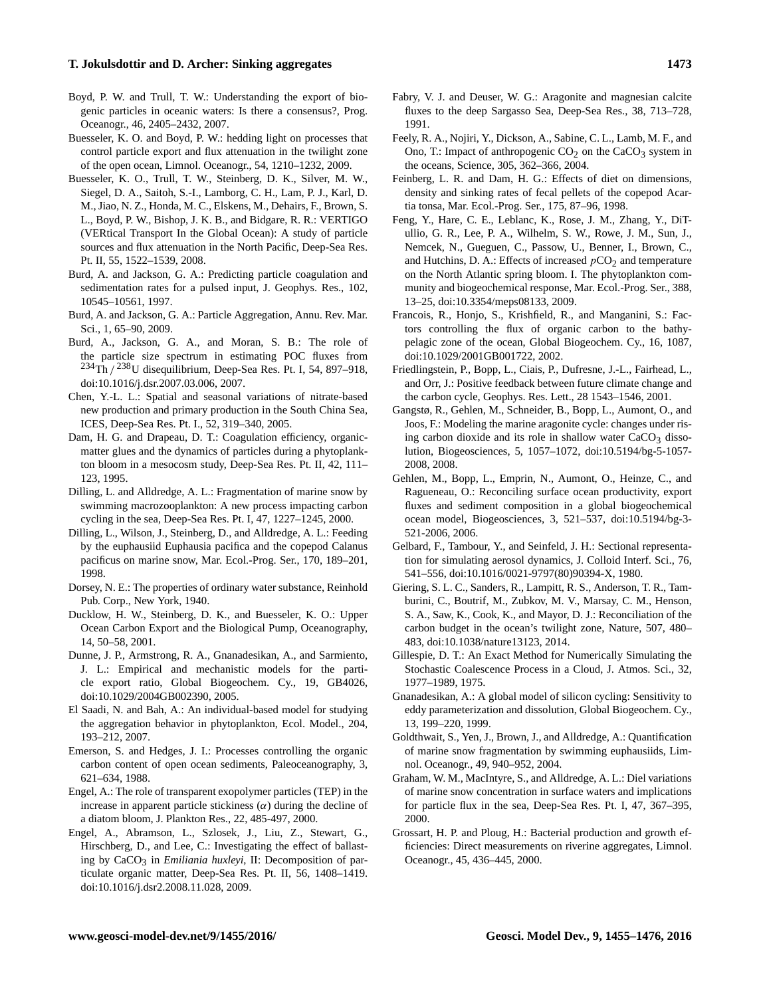- <span id="page-18-4"></span>Boyd, P. W. and Trull, T. W.: Understanding the export of biogenic particles in oceanic waters: Is there a consensus?, Prog. Oceanogr., 46, 2405–2432, 2007.
- <span id="page-18-31"></span>Buesseler, K. O. and Boyd, P. W.: hedding light on processes that control particle export and flux attenuation in the twilight zone of the open ocean, Limnol. Oceanogr., 54, 1210–1232, 2009.
- <span id="page-18-1"></span>Buesseler, K. O., Trull, T. W., Steinberg, D. K., Silver, M. W., Siegel, D. A., Saitoh, S.-I., Lamborg, C. H., Lam, P. J., Karl, D. M., Jiao, N. Z., Honda, M. C., Elskens, M., Dehairs, F., Brown, S. L., Boyd, P. W., Bishop, J. K. B., and Bidgare, R. R.: VERTIGO (VERtical Transport In the Global Ocean): A study of particle sources and flux attenuation in the North Pacific, Deep-Sea Res. Pt. II, 55, 1522–1539, 2008.
- <span id="page-18-15"></span>Burd, A. and Jackson, G. A.: Predicting particle coagulation and sedimentation rates for a pulsed input, J. Geophys. Res., 102, 10545–10561, 1997.
- <span id="page-18-16"></span>Burd, A. and Jackson, G. A.: Particle Aggregation, Annu. Rev. Mar. Sci., 1, 65–90, 2009.
- <span id="page-18-10"></span>Burd, A., Jackson, G. A., and Moran, S. B.: The role of the particle size spectrum in estimating POC fluxes from  $^{234}$ Th /  $^{238}$ U disequilibrium, Deep-Sea Res. Pt. I, 54, 897–918, doi[:10.1016/j.dsr.2007.03.006,](http://dx.doi.org/10.1016/j.dsr.2007.03.006) 2007.
- <span id="page-18-30"></span>Chen, Y.-L. L.: Spatial and seasonal variations of nitrate-based new production and primary production in the South China Sea, ICES, Deep-Sea Res. Pt. I., 52, 319–340, 2005.
- <span id="page-18-14"></span>Dam, H. G. and Drapeau, D. T.: Coagulation efficiency, organicmatter glues and the dynamics of particles during a phytoplankton bloom in a mesocosm study, Deep-Sea Res. Pt. II, 42, 111– 123, 1995.
- <span id="page-18-22"></span>Dilling, L. and Alldredge, A. L.: Fragmentation of marine snow by swimming macrozooplankton: A new process impacting carbon cycling in the sea, Deep-Sea Res. Pt. I, 47, 1227–1245, 2000.
- <span id="page-18-24"></span>Dilling, L., Wilson, J., Steinberg, D., and Alldredge, A. L.: Feeding by the euphausiid Euphausia pacifica and the copepod Calanus pacificus on marine snow, Mar. Ecol.-Prog. Ser., 170, 189–201, 1998.
- <span id="page-18-18"></span>Dorsey, N. E.: The properties of ordinary water substance, Reinhold Pub. Corp., New York, 1940.
- <span id="page-18-0"></span>Ducklow, H. W., Steinberg, D. K., and Buesseler, K. O.: Upper Ocean Carbon Export and the Biological Pump, Oceanography, 14, 50–58, 2001.
- <span id="page-18-29"></span>Dunne, J. P., Armstrong, R. A., Gnanadesikan, A., and Sarmiento, J. L.: Empirical and mechanistic models for the particle export ratio, Global Biogeochem. Cy., 19, GB4026, doi[:10.1029/2004GB002390,](http://dx.doi.org/10.1029/2004GB002390) 2005.
- <span id="page-18-28"></span>El Saadi, N. and Bah, A.: An individual-based model for studying the aggregation behavior in phytoplankton, Ecol. Model., 204, 193–212, 2007.
- <span id="page-18-5"></span>Emerson, S. and Hedges, J. I.: Processes controlling the organic carbon content of open ocean sediments, Paleoceanography, 3, 621–634, 1988.
- <span id="page-18-13"></span>Engel, A.: The role of transparent exopolymer particles (TEP) in the increase in apparent particle stickiness  $(\alpha)$  during the decline of a diatom bloom, J. Plankton Res., 22, 485-497, 2000.
- <span id="page-18-6"></span>Engel, A., Abramson, L., Szlosek, J., Liu, Z., Stewart, G., Hirschberg, D., and Lee, C.: Investigating the effect of ballasting by CaCO<sub>3</sub> in *Emiliania huxleyi*, II: Decomposition of particulate organic matter, Deep-Sea Res. Pt. II, 56, 1408–1419. doi[:10.1016/j.dsr2.2008.11.028,](http://dx.doi.org/10.1016/j.dsr2.2008.11.028) 2009.
- <span id="page-18-26"></span>Fabry, V. J. and Deuser, W. G.: Aragonite and magnesian calcite fluxes to the deep Sargasso Sea, Deep-Sea Res., 38, 713–728, 1991.
- <span id="page-18-25"></span>Feely, R. A., Nojiri, Y., Dickson, A., Sabine, C. L., Lamb, M. F., and Ono, T.: Impact of anthropogenic  $CO<sub>2</sub>$  on the CaCO<sub>3</sub> system in the oceans, Science, 305, 362–366, 2004.
- <span id="page-18-17"></span>Feinberg, L. R. and Dam, H. G.: Effects of diet on dimensions, density and sinking rates of fecal pellets of the copepod Acartia tonsa, Mar. Ecol.-Prog. Ser., 175, 87–96, 1998.
- <span id="page-18-12"></span>Feng, Y., Hare, C. E., Leblanc, K., Rose, J. M., Zhang, Y., DiTullio, G. R., Lee, P. A., Wilhelm, S. W., Rowe, J. M., Sun, J., Nemcek, N., Gueguen, C., Passow, U., Benner, I., Brown, C., and Hutchins, D. A.: Effects of increased  $pCO<sub>2</sub>$  and temperature on the North Atlantic spring bloom. I. The phytoplankton community and biogeochemical response, Mar. Ecol.-Prog. Ser., 388, 13–25, doi[:10.3354/meps08133,](http://dx.doi.org/10.3354/meps08133) 2009.
- <span id="page-18-3"></span>Francois, R., Honjo, S., Krishfield, R., and Manganini, S.: Factors controlling the flux of organic carbon to the bathypelagic zone of the ocean, Global Biogeochem. Cy., 16, 1087, doi[:10.1029/2001GB001722,](http://dx.doi.org/10.1029/2001GB001722) 2002.
- <span id="page-18-2"></span>Friedlingstein, P., Bopp, L., Ciais, P., Dufresne, J.-L., Fairhead, L., and Orr, J.: Positive feedback between future climate change and the carbon cycle, Geophys. Res. Lett., 28 1543–1546, 2001.
- <span id="page-18-7"></span>Gangstø, R., Gehlen, M., Schneider, B., Bopp, L., Aumont, O., and Joos, F.: Modeling the marine aragonite cycle: changes under rising carbon dioxide and its role in shallow water  $CaCO<sub>3</sub>$  dissolution, Biogeosciences, 5, 1057–1072, doi[:10.5194/bg-5-1057-](http://dx.doi.org/10.5194/bg-5-1057-2008) [2008,](http://dx.doi.org/10.5194/bg-5-1057-2008) 2008.
- <span id="page-18-11"></span>Gehlen, M., Bopp, L., Emprin, N., Aumont, O., Heinze, C., and Ragueneau, O.: Reconciling surface ocean productivity, export fluxes and sediment composition in a global biogeochemical ocean model, Biogeosciences, 3, 521–537, doi[:10.5194/bg-3-](http://dx.doi.org/10.5194/bg-3-521-2006) [521-2006,](http://dx.doi.org/10.5194/bg-3-521-2006) 2006.
- <span id="page-18-9"></span>Gelbard, F., Tambour, Y., and Seinfeld, J. H.: Sectional representation for simulating aerosol dynamics, J. Colloid Interf. Sci., 76, 541–556, doi[:10.1016/0021-9797\(80\)90394-X,](http://dx.doi.org/10.1016/0021-9797(80)90394-X) 1980.
- <span id="page-18-23"></span>Giering, S. L. C., Sanders, R., Lampitt, R. S., Anderson, T. R., Tamburini, C., Boutrif, M., Zubkov, M. V., Marsay, C. M., Henson, S. A., Saw, K., Cook, K., and Mayor, D. J.: Reconciliation of the carbon budget in the ocean's twilight zone, Nature, 507, 480– 483, doi[:10.1038/nature13123,](http://dx.doi.org/10.1038/nature13123) 2014.
- <span id="page-18-27"></span>Gillespie, D. T.: An Exact Method for Numerically Simulating the Stochastic Coalescence Process in a Cloud, J. Atmos. Sci., 32, 1977–1989, 1975.
- <span id="page-18-8"></span>Gnanadesikan, A.: A global model of silicon cycling: Sensitivity to eddy parameterization and dissolution, Global Biogeochem. Cy., 13, 199–220, 1999.
- <span id="page-18-20"></span>Goldthwait, S., Yen, J., Brown, J., and Alldredge, A.: Quantification of marine snow fragmentation by swimming euphausiids, Limnol. Oceanogr., 49, 940–952, 2004.
- <span id="page-18-21"></span>Graham, W. M., MacIntyre, S., and Alldredge, A. L.: Diel variations of marine snow concentration in surface waters and implications for particle flux in the sea, Deep-Sea Res. Pt. I, 47, 367–395, 2000.
- <span id="page-18-19"></span>Grossart, H. P. and Ploug, H.: Bacterial production and growth efficiencies: Direct measurements on riverine aggregates, Limnol. Oceanogr., 45, 436–445, 2000.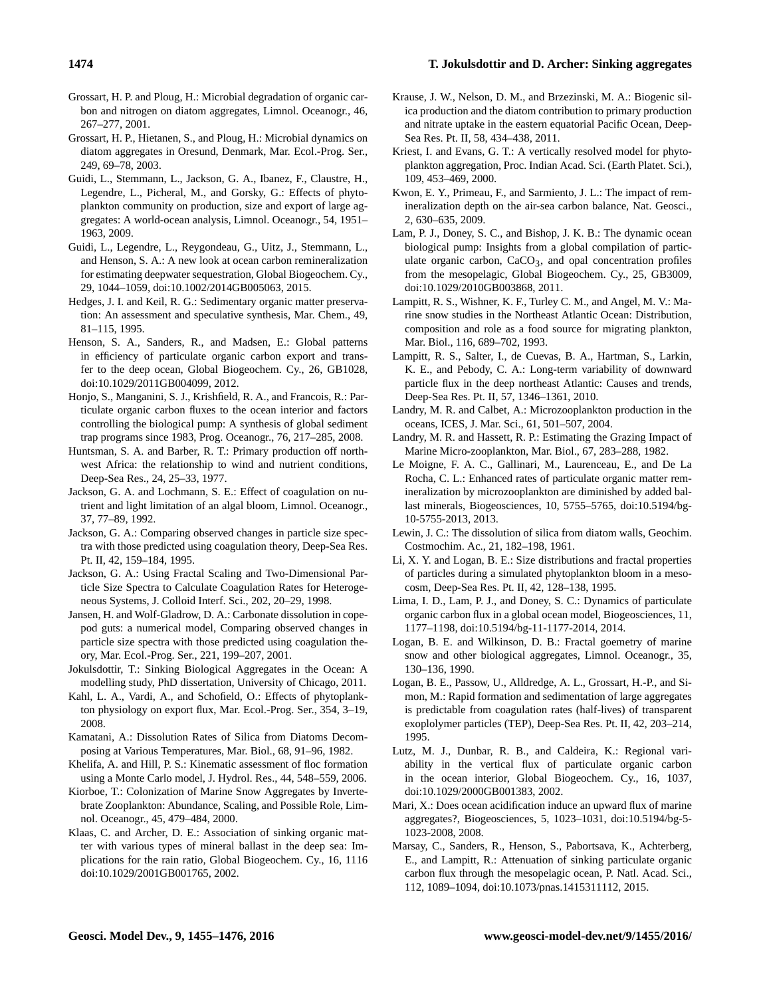- <span id="page-19-18"></span>Grossart, H. P. and Ploug, H.: Microbial degradation of organic carbon and nitrogen on diatom aggregates, Limnol. Oceanogr., 46, 267–277, 2001.
- <span id="page-19-19"></span>Grossart, H. P., Hietanen, S., and Ploug, H.: Microbial dynamics on diatom aggregates in Oresund, Denmark, Mar. Ecol.-Prog. Ser., 249, 69–78, 2003.
- <span id="page-19-1"></span>Guidi, L., Stemmann, L., Jackson, G. A., Ibanez, F., Claustre, H., Legendre, L., Picheral, M., and Gorsky, G.: Effects of phytoplankton community on production, size and export of large aggregates: A world-ocean analysis, Limnol. Oceanogr., 54, 1951– 1963, 2009.
- <span id="page-19-5"></span>Guidi, L., Legendre, L., Reygondeau, G., Uitz, J., Stemmann, L., and Henson, S. A.: A new look at ocean carbon remineralization for estimating deepwater sequestration, Global Biogeochem. Cy., 29, 1044–1059, doi[:10.1002/2014GB005063,](http://dx.doi.org/10.1002/2014GB005063) 2015.
- <span id="page-19-3"></span>Hedges, J. I. and Keil, R. G.: Sedimentary organic matter preservation: An assessment and speculative synthesis, Mar. Chem., 49, 81–115, 1995.
- <span id="page-19-33"></span>Henson, S. A., Sanders, R., and Madsen, E.: Global patterns in efficiency of particulate organic carbon export and transfer to the deep ocean, Global Biogeochem. Cy., 26, GB1028, doi[:10.1029/2011GB004099,](http://dx.doi.org/10.1029/2011GB004099) 2012.
- <span id="page-19-29"></span>Honjo, S., Manganini, S. J., Krishfield, R. A., and Francois, R.: Particulate organic carbon fluxes to the ocean interior and factors controlling the biological pump: A synthesis of global sediment trap programs since 1983, Prog. Oceanogr., 76, 217–285, 2008.
- <span id="page-19-32"></span>Huntsman, S. A. and Barber, R. T.: Primary production off northwest Africa: the relationship to wind and nutrient conditions, Deep-Sea Res., 24, 25–33, 1977.
- <span id="page-19-7"></span>Jackson, G. A. and Lochmann, S. E.: Effect of coagulation on nutrient and light limitation of an algal bloom, Limnol. Oceanogr., 37, 77–89, 1992.
- <span id="page-19-15"></span>Jackson, G. A.: Comparing observed changes in particle size spectra with those predicted using coagulation theory, Deep-Sea Res. Pt. II, 42, 159–184, 1995.
- <span id="page-19-27"></span>Jackson, G. A.: Using Fractal Scaling and Two-Dimensional Particle Size Spectra to Calculate Coagulation Rates for Heterogeneous Systems, J. Colloid Interf. Sci., 202, 20–29, 1998.
- <span id="page-19-24"></span>Jansen, H. and Wolf-Gladrow, D. A.: Carbonate dissolution in copepod guts: a numerical model, Comparing observed changes in particle size spectra with those predicted using coagulation theory, Mar. Ecol.-Prog. Ser., 221, 199–207, 2001.
- <span id="page-19-13"></span>Jokulsdottir, T.: Sinking Biological Aggregates in the Ocean: A modelling study, PhD dissertation, University of Chicago, 2011.
- <span id="page-19-12"></span>Kahl, L. A., Vardi, A., and Schofield, O.: Effects of phytoplankton physiology on export flux, Mar. Ecol.-Prog. Ser., 354, 3–19, 2008.
- <span id="page-19-26"></span>Kamatani, A.: Dissolution Rates of Silica from Diatoms Decomposing at Various Temperatures, Mar. Biol., 68, 91–96, 1982.
- <span id="page-19-28"></span>Khelifa, A. and Hill, P. S.: Kinematic assessment of floc formation using a Monte Carlo model, J. Hydrol. Res., 44, 548–559, 2006.
- <span id="page-19-23"></span>Kiorboe, T.: Colonization of Marine Snow Aggregates by Invertebrate Zooplankton: Abundance, Scaling, and Possible Role, Limnol. Oceanogr., 45, 479–484, 2000.
- <span id="page-19-2"></span>Klaas, C. and Archer, D. E.: Association of sinking organic matter with various types of mineral ballast in the deep sea: Implications for the rain ratio, Global Biogeochem. Cy., 16, 1116 doi[:10.1029/2001GB001765,](http://dx.doi.org/10.1029/2001GB001765) 2002.
- <span id="page-19-31"></span>Krause, J. W., Nelson, D. M., and Brzezinski, M. A.: Biogenic silica production and the diatom contribution to primary production and nitrate uptake in the eastern equatorial Pacific Ocean, Deep-Sea Res. Pt. II, 58, 434–438, 2011.
- <span id="page-19-8"></span>Kriest, I. and Evans, G. T.: A vertically resolved model for phytoplankton aggregation, Proc. Indian Acad. Sci. (Earth Platet. Sci.), 109, 453–469, 2000.
- <span id="page-19-0"></span>Kwon, E. Y., Primeau, F., and Sarmiento, J. L.: The impact of remineralization depth on the air-sea carbon balance, Nat. Geosci., 2, 630–635, 2009.
- <span id="page-19-10"></span>Lam, P. J., Doney, S. C., and Bishop, J. K. B.: The dynamic ocean biological pump: Insights from a global compilation of particulate organic carbon,  $CaCO<sub>3</sub>$ , and opal concentration profiles from the mesopelagic, Global Biogeochem. Cy., 25, GB3009, doi[:10.1029/2010GB003868,](http://dx.doi.org/10.1029/2010GB003868) 2011.
- <span id="page-19-20"></span>Lampitt, R. S., Wishner, K. F., Turley C. M., and Angel, M. V.: Marine snow studies in the Northeast Atlantic Ocean: Distribution, composition and role as a food source for migrating plankton, Mar. Biol., 116, 689–702, 1993.
- <span id="page-19-30"></span>Lampitt, R. S., Salter, I., de Cuevas, B. A., Hartman, S., Larkin, K. E., and Pebody, C. A.: Long-term variability of downward particle flux in the deep northeast Atlantic: Causes and trends, Deep-Sea Res. Pt. II, 57, 1346–1361, 2010.
- <span id="page-19-22"></span>Landry, M. R. and Calbet, A.: Microzooplankton production in the oceans, ICES, J. Mar. Sci., 61, 501–507, 2004.
- <span id="page-19-21"></span>Landry, M. R. and Hassett, R. P.: Estimating the Grazing Impact of Marine Micro-zooplankton, Mar. Biol., 67, 283–288, 1982.
- <span id="page-19-4"></span>Le Moigne, F. A. C., Gallinari, M., Laurenceau, E., and De La Rocha, C. L.: Enhanced rates of particulate organic matter remineralization by microzooplankton are diminished by added ballast minerals, Biogeosciences, 10, 5755–5765, doi[:10.5194/bg-](http://dx.doi.org/10.5194/bg-10-5755-2013)[10-5755-2013,](http://dx.doi.org/10.5194/bg-10-5755-2013) 2013.
- <span id="page-19-25"></span>Lewin, J. C.: The dissolution of silica from diatom walls, Geochim. Costmochim. Ac., 21, 182–198, 1961.
- <span id="page-19-17"></span>Li, X. Y. and Logan, B. E.: Size distributions and fractal properties of particles during a simulated phytoplankton bloom in a mesocosm, Deep-Sea Res. Pt. II, 42, 128–138, 1995.
- <span id="page-19-6"></span>Lima, I. D., Lam, P. J., and Doney, S. C.: Dynamics of particulate organic carbon flux in a global ocean model, Biogeosciences, 11, 1177–1198, doi[:10.5194/bg-11-1177-2014,](http://dx.doi.org/10.5194/bg-11-1177-2014) 2014.
- <span id="page-19-16"></span>Logan, B. E. and Wilkinson, D. B.: Fractal goemetry of marine snow and other biological aggregates, Limnol. Oceanogr., 35, 130–136, 1990.
- <span id="page-19-11"></span>Logan, B. E., Passow, U., Alldredge, A. L., Grossart, H.-P., and Simon, M.: Rapid formation and sedimentation of large aggregates is predictable from coagulation rates (half-lives) of transparent exoplolymer particles (TEP), Deep-Sea Res. Pt. II, 42, 203–214, 1995.
- <span id="page-19-9"></span>Lutz, M. J., Dunbar, R. B., and Caldeira, K.: Regional variability in the vertical flux of particulate organic carbon in the ocean interior, Global Biogeochem. Cy., 16, 1037, doi[:10.1029/2000GB001383,](http://dx.doi.org/10.1029/2000GB001383) 2002.
- <span id="page-19-14"></span>Mari, X.: Does ocean acidification induce an upward flux of marine aggregates?, Biogeosciences, 5, 1023–1031, doi[:10.5194/bg-5-](http://dx.doi.org/10.5194/bg-5-1023-2008) [1023-2008,](http://dx.doi.org/10.5194/bg-5-1023-2008) 2008.
- <span id="page-19-34"></span>Marsay, C., Sanders, R., Henson, S., Pabortsava, K., Achterberg, E., and Lampitt, R.: Attenuation of sinking particulate organic carbon flux through the mesopelagic ocean, P. Natl. Acad. Sci., 112, 1089–1094, doi[:10.1073/pnas.1415311112,](http://dx.doi.org/10.1073/pnas.1415311112) 2015.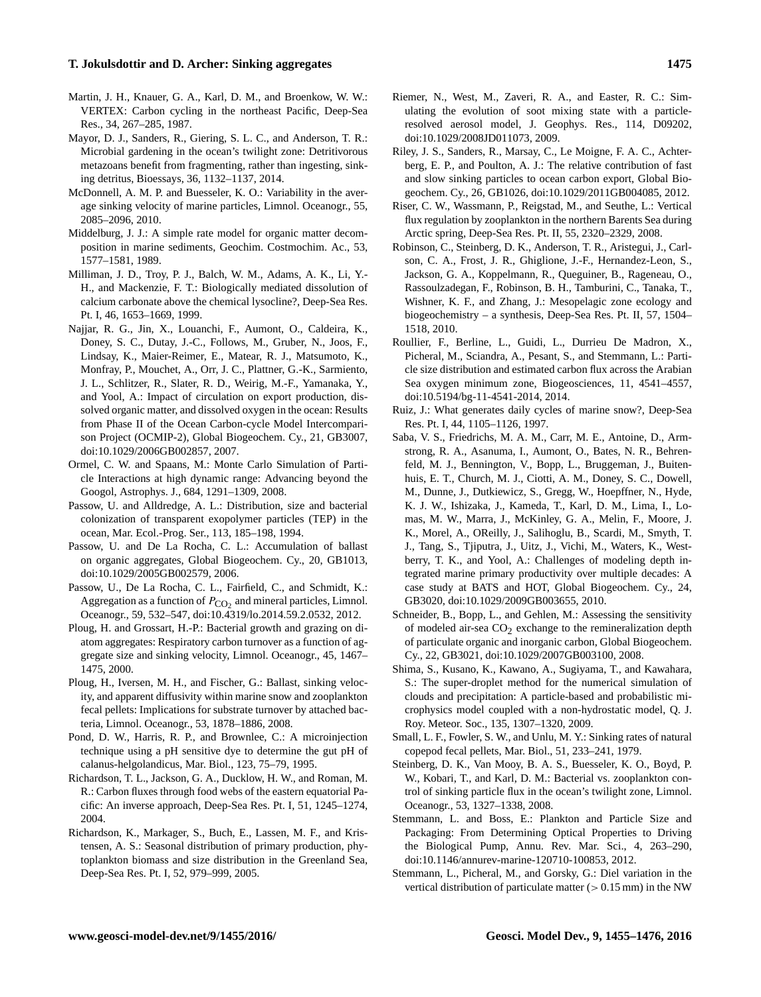- <span id="page-20-6"></span>Martin, J. H., Knauer, G. A., Karl, D. M., and Broenkow, W. W.: VERTEX: Carbon cycling in the northeast Pacific, Deep-Sea Res., 34, 267–285, 1987.
- <span id="page-20-15"></span>Mayor, D. J., Sanders, R., Giering, S. L. C., and Anderson, T. R.: Microbial gardening in the ocean's twilight zone: Detritivorous metazoans benefit from fragmenting, rather than ingesting, sinking detritus, Bioessays, 36, 1132–1137, 2014.
- <span id="page-20-10"></span>McDonnell, A. M. P. and Buesseler, K. O.: Variability in the average sinking velocity of marine particles, Limnol. Oceanogr., 55, 2085–2096, 2010.
- <span id="page-20-12"></span>Middelburg, J. J.: A simple rate model for organic matter decomposition in marine sediments, Geochim. Costmochim. Ac., 53, 1577–1581, 1989.
- <span id="page-20-21"></span>Milliman, J. D., Troy, P. J., Balch, W. M., Adams, A. K., Li, Y.- H., and Mackenzie, F. T.: Biologically mediated dissolution of calcium carbonate above the chemical lysocline?, Deep-Sea Res. Pt. I, 46, 1653–1669, 1999.
- <span id="page-20-7"></span>Najjar, R. G., Jin, X., Louanchi, F., Aumont, O., Caldeira, K., Doney, S. C., Dutay, J.-C., Follows, M., Gruber, N., Joos, F., Lindsay, K., Maier-Reimer, E., Matear, R. J., Matsumoto, K., Monfray, P., Mouchet, A., Orr, J. C., Plattner, G.-K., Sarmiento, J. L., Schlitzer, R., Slater, R. D., Weirig, M.-F., Yamanaka, Y., and Yool, A.: Impact of circulation on export production, dissolved organic matter, and dissolved oxygen in the ocean: Results from Phase II of the Ocean Carbon-cycle Model Intercomparison Project (OCMIP-2), Global Biogeochem. Cy., 21, GB3007, doi[:10.1029/2006GB002857,](http://dx.doi.org/10.1029/2006GB002857) 2007.
- <span id="page-20-22"></span>Ormel, C. W. and Spaans, M.: Monte Carlo Simulation of Particle Interactions at high dynamic range: Advancing beyond the Googol, Astrophys. J., 684, 1291–1309, 2008.
- <span id="page-20-8"></span>Passow, U. and Alldredge, A. L.: Distribution, size and bacterial colonization of transparent exopolymer particles (TEP) in the ocean, Mar. Ecol.-Prog. Ser., 113, 185–198, 1994.
- <span id="page-20-4"></span>Passow, U. and De La Rocha, C. L.: Accumulation of ballast on organic aggregates, Global Biogeochem. Cy., 20, GB1013, doi[:10.1029/2005GB002579,](http://dx.doi.org/10.1029/2005GB002579) 2006.
- <span id="page-20-5"></span>Passow, U., De La Rocha, C. L., Fairfield, C., and Schmidt, K.: Aggregation as a function of  $P_{\text{CO}_2}$  and mineral particles, Limnol. Oceanogr., 59, 532–547, doi[:10.4319/lo.2014.59.2.0532,](http://dx.doi.org/10.4319/lo.2014.59.2.0532) 2012.
- <span id="page-20-11"></span>Ploug, H. and Grossart, H.-P.: Bacterial growth and grazing on diatom aggregates: Respiratory carbon turnover as a function of aggregate size and sinking velocity, Limnol. Oceanogr., 45, 1467– 1475, 2000.
- <span id="page-20-3"></span>Ploug, H., Iversen, M. H., and Fischer, G.: Ballast, sinking velocity, and apparent diffusivity within marine snow and zooplankton fecal pellets: Implications for substrate turnover by attached bacteria, Limnol. Oceanogr., 53, 1878–1886, 2008.
- <span id="page-20-20"></span>Pond, D. W., Harris, R. P., and Brownlee, C.: A microinjection technique using a pH sensitive dye to determine the gut pH of calanus-helgolandicus, Mar. Biol., 123, 75–79, 1995.
- <span id="page-20-17"></span>Richardson, T. L., Jackson, G. A., Ducklow, H. W., and Roman, M. R.: Carbon fluxes through food webs of the eastern equatorial Pacific: An inverse approach, Deep-Sea Res. Pt. I, 51, 1245–1274, 2004.
- <span id="page-20-26"></span>Richardson, K., Markager, S., Buch, E., Lassen, M. F., and Kristensen, A. S.: Seasonal distribution of primary production, phytoplankton biomass and size distribution in the Greenland Sea, Deep-Sea Res. Pt. I, 52, 979–999, 2005.
- <span id="page-20-24"></span>Riemer, N., West, M., Zaveri, R. A., and Easter, R. C.: Simulating the evolution of soot mixing state with a particleresolved aerosol model, J. Geophys. Res., 114, D09202, doi[:10.1029/2008JD011073,](http://dx.doi.org/10.1029/2008JD011073) 2009.
- <span id="page-20-2"></span>Riley, J. S., Sanders, R., Marsay, C., Le Moigne, F. A. C., Achterberg, E. P., and Poulton, A. J.: The relative contribution of fast and slow sinking particles to ocean carbon export, Global Biogeochem. Cy., 26, GB1026, doi[:10.1029/2011GB004085,](http://dx.doi.org/10.1029/2011GB004085) 2012.
- <span id="page-20-16"></span>Riser, C. W., Wassmann, P., Reigstad, M., and Seuthe, L.: Vertical flux regulation by zooplankton in the northern Barents Sea during Arctic spring, Deep-Sea Res. Pt. II, 55, 2320–2329, 2008.
- <span id="page-20-19"></span>Robinson, C., Steinberg, D. K., Anderson, T. R., Aristegui, J., Carlson, C. A., Frost, J. R., Ghiglione, J.-F., Hernandez-Leon, S., Jackson, G. A., Koppelmann, R., Queguiner, B., Rageneau, O., Rassoulzadegan, F., Robinson, B. H., Tamburini, C., Tanaka, T., Wishner, K. F., and Zhang, J.: Mesopelagic zone ecology and biogeochemistry – a synthesis, Deep-Sea Res. Pt. II, 57, 1504– 1518, 2010.
- <span id="page-20-25"></span>Roullier, F., Berline, L., Guidi, L., Durrieu De Madron, X., Picheral, M., Sciandra, A., Pesant, S., and Stemmann, L.: Particle size distribution and estimated carbon flux across the Arabian Sea oxygen minimum zone, Biogeosciences, 11, 4541–4557, doi[:10.5194/bg-11-4541-2014,](http://dx.doi.org/10.5194/bg-11-4541-2014) 2014.
- <span id="page-20-13"></span>Ruiz, J.: What generates daily cycles of marine snow?, Deep-Sea Res. Pt. I, 44, 1105–1126, 1997.
- <span id="page-20-27"></span>Saba, V. S., Friedrichs, M. A. M., Carr, M. E., Antoine, D., Armstrong, R. A., Asanuma, I., Aumont, O., Bates, N. R., Behrenfeld, M. J., Bennington, V., Bopp, L., Bruggeman, J., Buitenhuis, E. T., Church, M. J., Ciotti, A. M., Doney, S. C., Dowell, M., Dunne, J., Dutkiewicz, S., Gregg, W., Hoepffner, N., Hyde, K. J. W., Ishizaka, J., Kameda, T., Karl, D. M., Lima, I., Lomas, M. W., Marra, J., McKinley, G. A., Melin, F., Moore, J. K., Morel, A., OReilly, J., Salihoglu, B., Scardi, M., Smyth, T. J., Tang, S., Tjiputra, J., Uitz, J., Vichi, M., Waters, K., Westberry, T. K., and Yool, A.: Challenges of modeling depth integrated marine primary productivity over multiple decades: A case study at BATS and HOT, Global Biogeochem. Cy., 24, GB3020, doi[:10.1029/2009GB003655,](http://dx.doi.org/10.1029/2009GB003655) 2010.
- <span id="page-20-0"></span>Schneider, B., Bopp, L., and Gehlen, M.: Assessing the sensitivity of modeled air-sea  $CO<sub>2</sub>$  exchange to the remineralization depth of particulate organic and inorganic carbon, Global Biogeochem. Cy., 22, GB3021, doi[:10.1029/2007GB003100,](http://dx.doi.org/10.1029/2007GB003100) 2008.
- <span id="page-20-23"></span>Shima, S., Kusano, K., Kawano, A., Sugiyama, T., and Kawahara, S.: The super-droplet method for the numerical simulation of clouds and precipitation: A particle-based and probabilistic microphysics model coupled with a non-hydrostatic model, Q. J. Roy. Meteor. Soc., 135, 1307–1320, 2009.
- <span id="page-20-9"></span>Small, L. F., Fowler, S. W., and Unlu, M. Y.: Sinking rates of natural copepod fecal pellets, Mar. Biol., 51, 233–241, 1979.
- <span id="page-20-18"></span>Steinberg, D. K., Van Mooy, B. A. S., Buesseler, K. O., Boyd, P. W., Kobari, T., and Karl, D. M.: Bacterial vs. zooplankton control of sinking particle flux in the ocean's twilight zone, Limnol. Oceanogr., 53, 1327–1338, 2008.
- <span id="page-20-1"></span>Stemmann, L. and Boss, E.: Plankton and Particle Size and Packaging: From Determining Optical Properties to Driving the Biological Pump, Annu. Rev. Mar. Sci., 4, 263–290, doi[:10.1146/annurev-marine-120710-100853,](http://dx.doi.org/10.1146/annurev-marine-120710-100853) 2012.
- <span id="page-20-14"></span>Stemmann, L., Picheral, M., and Gorsky, G.: Diel variation in the vertical distribution of particulate matter  $(> 0.15 \text{ mm})$  in the NW